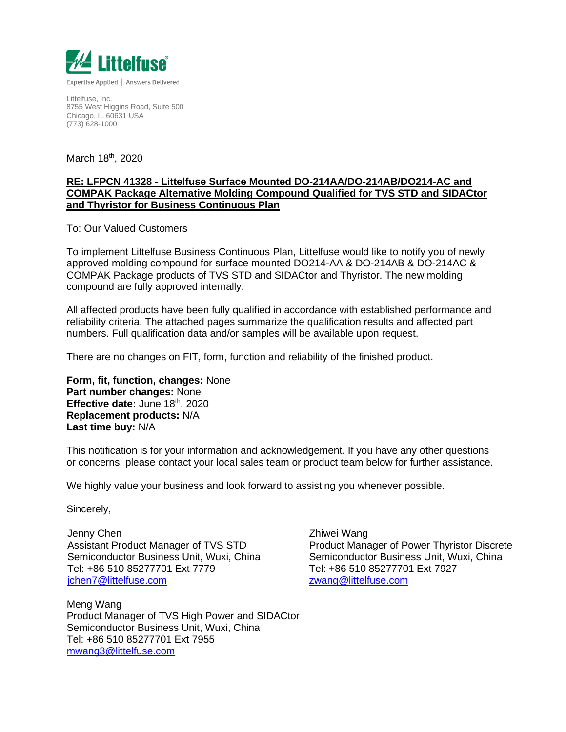

Littelfuse, Inc. 8755 West Higgins Road, Suite 500 Chicago, IL 60631 USA (773) 628-1000

March 18<sup>th</sup>, 2020

## **RE: LFPCN 41328 - Littelfuse Surface Mounted DO-214AA/DO-214AB/DO214-AC and COMPAK Package Alternative Molding Compound Qualified for TVS STD and SIDACtor and Thyristor for Business Continuous Plan**

To: Our Valued Customers

To implement Littelfuse Business Continuous Plan, Littelfuse would like to notify you of newly approved molding compound for surface mounted DO214-AA & DO-214AB & DO-214AC & COMPAK Package products of TVS STD and SIDACtor and Thyristor. The new molding compound are fully approved internally.

All affected products have been fully qualified in accordance with established performance and reliability criteria. The attached pages summarize the qualification results and affected part numbers. Full qualification data and/or samples will be available upon request.

There are no changes on FIT, form, function and reliability of the finished product.

**Form, fit, function, changes:** None **Part number changes:** None Effective date: June 18<sup>th</sup>, 2020 **Replacement products:** N/A **Last time buy:** N/A

This notification is for your information and acknowledgement. If you have any other questions or concerns, please contact your local sales team or product team below for further assistance.

We highly value your business and look forward to assisting you whenever possible.

Sincerely,

Jenny Chen Assistant Product Manager of TVS STD Semiconductor Business Unit, Wuxi, China Tel: +86 510 85277701 Ext 7779 [jchen7@littelfuse.com](mailto:jchen7@littelfuse.com)

Meng Wang Product Manager of TVS High Power and SIDACtor Semiconductor Business Unit, Wuxi, China Tel: +86 510 85277701 Ext 7955 [mwang3@littelfuse.com](mailto:mwang3@littelfuse.com)

Zhiwei Wang Product Manager of Power Thyristor Discrete Semiconductor Business Unit, Wuxi, China Tel: +86 510 85277701 Ext 7927 [zwang@littelfuse.com](mailto:zwang@littelfuse.com)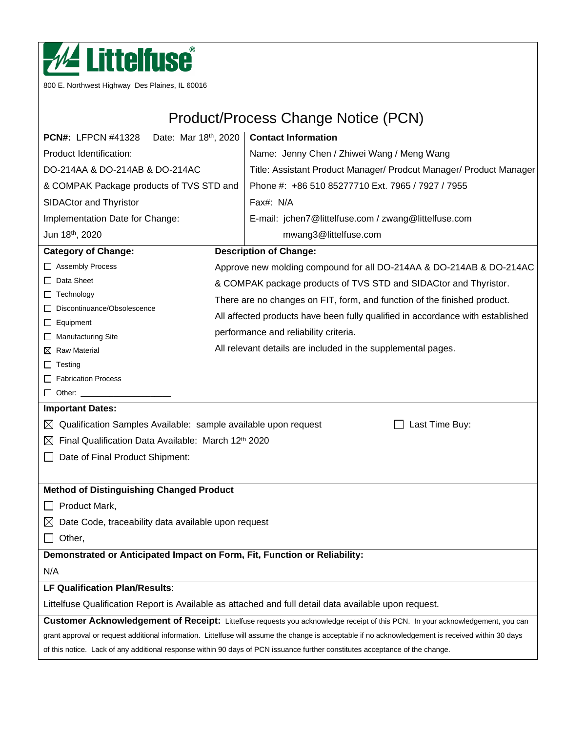

800 E. Northwest Highway Des Plaines, IL 60016

# Product/Process Change Notice (PCN)

| Date: Mar 18th, 2020<br><b>PCN#: LFPCN #41328</b>                                                                              |                                                              | <b>Contact Information</b>                                                                                                                         |  |  |
|--------------------------------------------------------------------------------------------------------------------------------|--------------------------------------------------------------|----------------------------------------------------------------------------------------------------------------------------------------------------|--|--|
| Product Identification:                                                                                                        |                                                              | Name: Jenny Chen / Zhiwei Wang / Meng Wang                                                                                                         |  |  |
| DO-214AA & DO-214AB & DO-214AC                                                                                                 |                                                              | Title: Assistant Product Manager/ Prodcut Manager/ Product Manager                                                                                 |  |  |
| & COMPAK Package products of TVS STD and                                                                                       |                                                              | Phone #: +86 510 85277710 Ext. 7965 / 7927 / 7955                                                                                                  |  |  |
| SIDACtor and Thyristor                                                                                                         |                                                              | Fax#: N/A                                                                                                                                          |  |  |
| Implementation Date for Change:                                                                                                |                                                              | E-mail: jchen7@littelfuse.com / zwang@littelfuse.com                                                                                               |  |  |
| Jun 18th, 2020                                                                                                                 |                                                              | mwang3@littelfuse.com                                                                                                                              |  |  |
| <b>Category of Change:</b>                                                                                                     |                                                              | <b>Description of Change:</b>                                                                                                                      |  |  |
| □ Assembly Process                                                                                                             |                                                              | Approve new molding compound for all DO-214AA & DO-214AB & DO-214AC                                                                                |  |  |
| Data Sheet<br>$\mathbf{1}$                                                                                                     |                                                              | & COMPAK package products of TVS STD and SIDACtor and Thyristor.                                                                                   |  |  |
| $\Box$ Technology                                                                                                              |                                                              | There are no changes on FIT, form, and function of the finished product.                                                                           |  |  |
| Discontinuance/Obsolescence<br>ப                                                                                               |                                                              | All affected products have been fully qualified in accordance with established                                                                     |  |  |
| $\Box$ Equipment                                                                                                               |                                                              |                                                                                                                                                    |  |  |
| $\Box$ Manufacturing Site                                                                                                      | performance and reliability criteria.                        |                                                                                                                                                    |  |  |
| $\boxtimes$ Raw Material                                                                                                       | All relevant details are included in the supplemental pages. |                                                                                                                                                    |  |  |
| $\Box$ Testing                                                                                                                 |                                                              |                                                                                                                                                    |  |  |
| Fabrication Process<br>$\Box$ Other: $\Box$                                                                                    |                                                              |                                                                                                                                                    |  |  |
| <b>Important Dates:</b>                                                                                                        |                                                              |                                                                                                                                                    |  |  |
| Qualification Samples Available: sample available upon request<br>⊠                                                            |                                                              | Last Time Buy:                                                                                                                                     |  |  |
| Final Qualification Data Available: March 12th 2020<br>⊠                                                                       |                                                              |                                                                                                                                                    |  |  |
|                                                                                                                                |                                                              |                                                                                                                                                    |  |  |
| Date of Final Product Shipment:                                                                                                |                                                              |                                                                                                                                                    |  |  |
|                                                                                                                                |                                                              |                                                                                                                                                    |  |  |
| <b>Method of Distinguishing Changed Product</b>                                                                                |                                                              |                                                                                                                                                    |  |  |
| Product Mark,                                                                                                                  |                                                              |                                                                                                                                                    |  |  |
| Date Code, traceability data available upon request<br>$\boxtimes$                                                             |                                                              |                                                                                                                                                    |  |  |
| Other,                                                                                                                         |                                                              |                                                                                                                                                    |  |  |
| Demonstrated or Anticipated Impact on Form, Fit, Function or Reliability:                                                      |                                                              |                                                                                                                                                    |  |  |
| N/A                                                                                                                            |                                                              |                                                                                                                                                    |  |  |
| LF Qualification Plan/Results:                                                                                                 |                                                              |                                                                                                                                                    |  |  |
| Littelfuse Qualification Report is Available as attached and full detail data available upon request.                          |                                                              |                                                                                                                                                    |  |  |
| Customer Acknowledgement of Receipt: Littelfuse requests you acknowledge receipt of this PCN. In your acknowledgement, you can |                                                              |                                                                                                                                                    |  |  |
|                                                                                                                                |                                                              | grant approval or request additional information. Littelfuse will assume the change is acceptable if no acknowledgement is received within 30 days |  |  |
| of this notice. Lack of any additional response within 90 days of PCN issuance further constitutes acceptance of the change.   |                                                              |                                                                                                                                                    |  |  |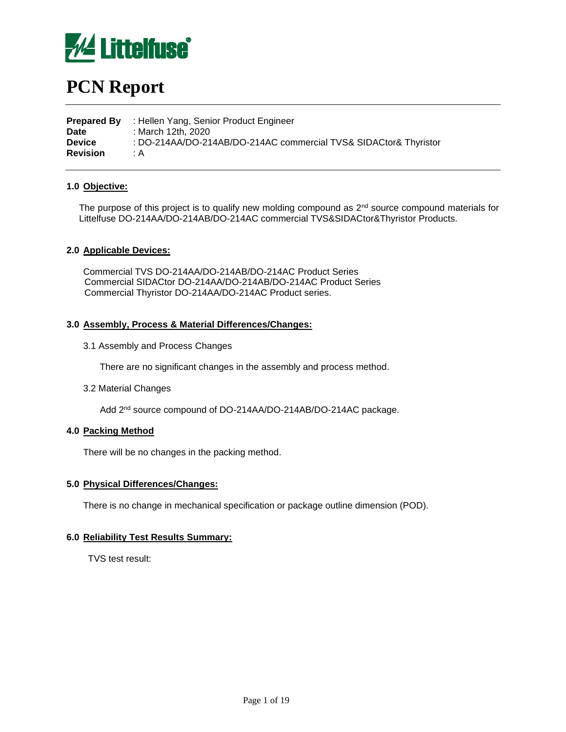

# **PCN Report**

**Prepared By** : Hellen Yang, Senior Product Engineer **Date** : March 12th, 2020 **Device** : DO-214AA/DO-214AB/DO-214AC commercial TVS& SIDACtor& Thyristor **Revision** : A

## **1.0 Objective:**

The purpose of this project is to qualify new molding compound as 2<sup>nd</sup> source compound materials for Littelfuse DO-214AA/DO-214AB/DO-214AC commercial TVS&SIDACtor&Thyristor Products.

## **2.0 Applicable Devices:**

Commercial TVS DO-214AA/DO-214AB/DO-214AC Product Series Commercial SIDACtor DO-214AA/DO-214AB/DO-214AC Product Series Commercial Thyristor DO-214AA/DO-214AC Product series.

## **3.0 Assembly, Process & Material Differences/Changes:**

3.1 Assembly and Process Changes

There are no significant changes in the assembly and process method.

3.2 Material Changes

Add 2<sup>nd</sup> source compound of DO-214AA/DO-214AB/DO-214AC package.

## **4.0 Packing Method**

There will be no changes in the packing method.

#### **5.0 Physical Differences/Changes:**

There is no change in mechanical specification or package outline dimension (POD).

#### **6.0 Reliability Test Results Summary:**

TVS test result: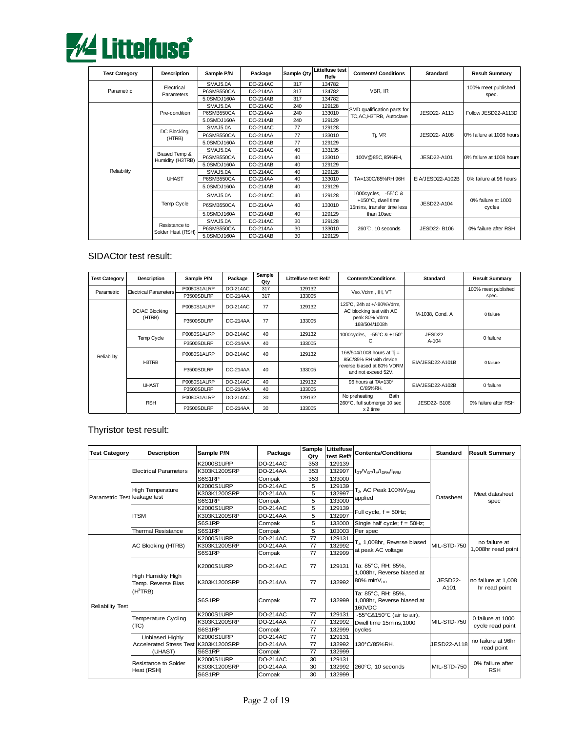

| <b>Test Category</b> | <b>Description</b> | Sample P/N  | Package         | Sample Qty | Littelfuse test | <b>Contents/ Conditions</b>                                     | <b>Standard</b>  | <b>Result Summary</b>        |
|----------------------|--------------------|-------------|-----------------|------------|-----------------|-----------------------------------------------------------------|------------------|------------------------------|
|                      |                    |             |                 |            | Ref#            |                                                                 |                  |                              |
|                      | Electrical         | SMAJ5.0A    | <b>DO-214AC</b> | 317        | 134782          |                                                                 |                  | 100% meet published          |
| Parametric           | Parameters         | P6SMB550CA  | DO-214AA        | 317        | 134782          | VBR, IR                                                         |                  | spec.                        |
|                      |                    | 5.0SMDJ160A | <b>DO-214AB</b> | 317        | 134782          |                                                                 |                  |                              |
|                      |                    | SMAJ5.0A    | <b>DO-214AC</b> | 240        | 129128          |                                                                 |                  |                              |
|                      | Pre-condition      | P6SMB550CA  | DO-214AA        | 240        | 133010          | SMD qualification parts for<br>TC, AC, H3TRB, Autoclave         | JESD22-A113      | Follow JESD22-A113D          |
|                      |                    | 5.0SMDJ160A | DO-214AB        | 240        | 129129          |                                                                 |                  |                              |
|                      |                    | SMAJ5.0A    | <b>DO-214AC</b> | 77         | 129128          |                                                                 |                  |                              |
|                      | DC Blocking        | P6SMB550CA  | DO-214AA        | 77         | 133010          | Tj, VR                                                          | JESD22-A108      | 0% failure at 1008 hours     |
|                      | (HTRB)             | 5.0SMDJ160A | DO-214AB        | 77         | 129129          |                                                                 |                  |                              |
|                      |                    | SMAJ5.0A    | <b>DO-214AC</b> | 40         | 133135          | 100V@85C,85%RH,<br>JESD22-A101                                  |                  | 0% failure at 1008 hours     |
|                      | Biased Temp &      | P6SMB550CA  | DO-214AA        | 40         | 133010          |                                                                 |                  |                              |
|                      | Humidity (H3TRB)   | 5.0SMDJ160A | DO-214AB        | 40         | 129129          |                                                                 |                  |                              |
| Reliability          |                    | SMAJ5.0A    | <b>DO-214AC</b> | 40         | 129128          |                                                                 |                  |                              |
|                      | <b>UHAST</b>       | P6SMB550CA  | <b>DO-214AA</b> | 40         | 133010          | TA=130C/85%RH 96H                                               | EIA/JESD22-A102B | 0% failure at 96 hours       |
|                      |                    | 5.0SMDJ160A | DO-214AB        | 40         | 129129          |                                                                 |                  |                              |
|                      |                    | SMAJ5.0A    | <b>DO-214AC</b> | 40         | 129128          | 1000cycles, -55°C &                                             |                  |                              |
|                      | Temp Cycle         | P6SMB550CA  | DO-214AA        | 40         | 133010          | +150°C, dwell time<br>JESD22-A104<br>15mins, transfer time less |                  | 0% failure at 1000<br>cycles |
|                      |                    | 5.0SMDJ160A | DO-214AB        | 40         | 129129          | than 10sec                                                      |                  |                              |
|                      |                    | SMAJ5.0A    | <b>DO-214AC</b> | 30         | 129128          |                                                                 |                  |                              |
|                      | Resistance to      | P6SMB550CA  | DO-214AA        | 30         | 133010          | 260℃, 10 seconds                                                | JESD22-B106      | 0% failure after RSH         |
| Solder Heat (RSH)    |                    | 5.0SMDJ160A | DO-214AB        | 30         | 129129          |                                                                 |                  |                              |

## SIDACtor test result:

| <b>Test Category</b> | Description                  | Sample P/N  | Package         | Sample<br>Qty | Littelfuse test Ref#                                 | <b>Contents/Conditions</b>                            | <b>Standard</b>  | <b>Result Summary</b> |
|----------------------|------------------------------|-------------|-----------------|---------------|------------------------------------------------------|-------------------------------------------------------|------------------|-----------------------|
| Parametric           | <b>Electrical Parameters</b> | P0080S1ALRP | DO-214AC        | 317           | 129132                                               | VBO, Vdrm. IH, VT                                     |                  | 100% meet published   |
|                      |                              | P3500SDLRP  | <b>DO-214AA</b> | 317           | 133005                                               |                                                       |                  | spec.                 |
|                      | DC/AC Blocking               | P0080S1ALRP | <b>DO-214AC</b> | 77            | 129132                                               | 125°C, 24h at +/-80%Vdrm,<br>AC blocking test with AC |                  | 0 failure             |
| (HTRB)               | P3500SDLRP                   | DO-214AA    | 77              | 133005        | peak 80% Vdrm<br>168/504/1008h                       | M-1038, Cond. A                                       |                  |                       |
|                      | Temp Cycle                   | P0080S1ALRP | DO-214AC        | 40            | 129132                                               | 1000cycles, -55°C & +150°                             | JESD22           | 0 failure             |
| Reliability<br>H3TRB | P3500SDLRP                   | DO-214AA    | 40              | 133005        | C,                                                   | $A - 104$                                             |                  |                       |
|                      | P0080S1ALRP                  | DO-214AC    | 40              | 129132        | 168/504/1008 hours at Ti =<br>85C/85% RH with device | EIA/JESD22-A101B                                      |                  |                       |
|                      | P3500SDLRP                   | DO-214AA    | 40              | 133005        | reverse biased at 80% VDRM<br>and not exceed 52V.    |                                                       | 0 failure        |                       |
|                      | <b>UHAST</b>                 | P0080S1ALRP | DO-214AC        | 40            | 129132                                               | 96 hours at TA=130°                                   | EIA/JESD22-A102B | 0 failure             |
|                      |                              | P3500SDLRP  | DO-214AA        | 40            | 133005                                               | C/85%RH.                                              |                  |                       |
| <b>RSH</b>           |                              | P0080S1ALRP | DO-214AC        | 30            | 129132                                               | Bath<br>No preheating<br>260°C, full submerge 10 sec  | JESD22-B106      | 0% failure after RSH  |
|                      | P3500SDLRP                   | DO-214AA    | 30              | 133005        | $x 2$ time                                           |                                                       |                  |                       |

# Thyristor test result:

| <b>Test Category</b>         | <b>Description</b>                                                      | Sample P/N        | Package         | Qtv | test Ref# | Sample Littelfuse Contents/Conditions                                                             | <b>Standard</b>                            | <b>Result Summary</b>               |
|------------------------------|-------------------------------------------------------------------------|-------------------|-----------------|-----|-----------|---------------------------------------------------------------------------------------------------|--------------------------------------------|-------------------------------------|
|                              |                                                                         | <b>K2000S1URP</b> | <b>DO-214AC</b> | 353 | 129139    |                                                                                                   |                                            |                                     |
|                              | <b>Electrical Parameters</b>                                            | K303K1200SRP      | <b>DO-214AA</b> | 353 | 132997    | $I_{\text{CT}}/V_{\text{CT}}/I_{\text{H}}/I_{\text{DRM}}/I_{\text{RRM}}$                          |                                            |                                     |
|                              |                                                                         | S6S1RP            | Compak          | 353 | 133000    |                                                                                                   |                                            |                                     |
|                              |                                                                         | <b>K2000S1URP</b> | <b>DO-214AC</b> | 5   | 129139    |                                                                                                   |                                            |                                     |
| Parametric Test leakage test | <b>High Temperature</b>                                                 | K303K1200SRP      | <b>DO-214AA</b> | 5   | 132997    | T <sub>J</sub> , AC Peak 100% V <sub>DRM</sub>                                                    |                                            | Meet datasheet                      |
|                              |                                                                         | S6S1RP            | Compak          | 5   | 133000    | applied                                                                                           | Datasheet                                  | spec                                |
|                              |                                                                         | K2000S1URP        | <b>DO-214AC</b> | 5   | 129139    |                                                                                                   |                                            |                                     |
|                              | <b>ITSM</b>                                                             | K303K1200SRP      | <b>DO-214AA</b> | 5   | 132997    | Full cycle, $f = 50$ Hz;                                                                          |                                            |                                     |
|                              |                                                                         | S6S1RP            | Compak          | 5   | 133000    | Single half cycle; f = 50Hz;                                                                      |                                            |                                     |
|                              | <b>Thermal Resistance</b>                                               | S6S1RP            | Compak          | 5   | 103003    | Per spec                                                                                          |                                            |                                     |
| AC Blocking (HTRB)           |                                                                         | <b>K2000S1URP</b> | <b>DO-214AC</b> | 77  | 129131    |                                                                                                   | T., 1,008hr, Reverse biased<br>MIL-STD-750 | no failure at<br>1,008hr read point |
|                              |                                                                         | K303K1200SRP      | <b>DO-214AA</b> | 77  | 132992    |                                                                                                   |                                            |                                     |
|                              |                                                                         | S6S1RP            | Compak          | 77  | 132999    | at peak AC voltage                                                                                |                                            |                                     |
|                              | <b>High Humidity High</b><br>Temp. Reverse Bias<br>(H <sup>3</sup> TRB) | <b>K2000S1URP</b> | <b>DO-214AC</b> | 77  | 129131    | Ta: 85°C, RH: 85%,<br>1.008hr. Reverse biased at<br>JESD22-<br>$80\%$ min $V_{\text{RO}}$<br>A101 | no failure at 1,008<br>hr read point       |                                     |
|                              |                                                                         | K303K1200SRP      | <b>DO-214AA</b> | 77  | 132992    |                                                                                                   |                                            |                                     |
| <b>Reliability Test</b>      |                                                                         | S6S1RP            | Compak          | 77  | 132999    | Ta: 85°C. RH: 85%.<br>1,008hr, Reverse biased at<br>160VDC                                        |                                            |                                     |
|                              | <b>Temperature Cycling</b>                                              | <b>K2000S1URP</b> | <b>DO-214AC</b> | 77  | 129131    | -55°C&150°C (air to air),                                                                         |                                            | 0 failure at 1000                   |
|                              | (TC)                                                                    | K303K1200SRP      | <b>DO-214AA</b> | 77  | 132992    | Dwell time 15mins.1000                                                                            | MIL-STD-750                                | cycle read point                    |
|                              |                                                                         | S6S1RP            | Compak          | 77  | 132999    | cycles                                                                                            |                                            |                                     |
|                              | Unbiased Highly                                                         | <b>K2000S1URP</b> | <b>DO-214AC</b> | 77  | 129131    |                                                                                                   |                                            | no failure at 96hr                  |
|                              | Accelerated Stress Test K303K1200SRP                                    |                   | <b>DO-214AA</b> | 77  | 132992    | 130°C/85%RH.                                                                                      | JESD22-A118                                | read point                          |
|                              | (UHAST)                                                                 | S6S1RP            | Compak          | 77  | 132999    |                                                                                                   |                                            |                                     |
|                              | Resistance to Solder                                                    | <b>K2000S1URP</b> | <b>DO-214AC</b> | 30  | 129131    |                                                                                                   |                                            | 0% failure after                    |
|                              | Heat (RSH)                                                              | K303K1200SRP      | <b>DO-214AA</b> | 30  | 132992    | 260°C. 10 seconds                                                                                 | <b>MIL-STD-750</b>                         | <b>RSH</b>                          |
|                              |                                                                         | S6S1RP            | Compak          | 30  | 132999    |                                                                                                   |                                            |                                     |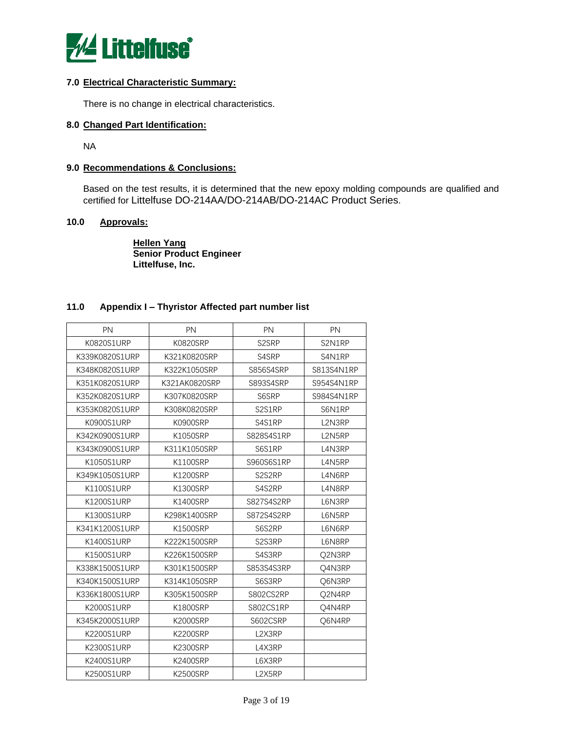

## **7.0 Electrical Characteristic Summary:**

There is no change in electrical characteristics.

## **8.0 Changed Part Identification:**

NA

## **9.0 Recommendations & Conclusions:**

Based on the test results, it is determined that the new epoxy molding compounds are qualified and certified for Littelfuse DO-214AA/DO-214AB/DO-214AC Product Series.

## **10.0 Approvals:**

**Hellen Yang Senior Product Engineer Littelfuse, Inc.** 

## **11.0 Appendix I – Thyristor Affected part number list**

| PN                | PN              | PN               | PN         |
|-------------------|-----------------|------------------|------------|
| K0820S1URP        | K0820SRP        | S2SRP            | S2N1RP     |
| K339K0820S1URP    | K321K0820SRP    | S4SRP            | S4N1RP     |
| K348K0820S1URP    | K322K1050SRP    | <b>S856S4SRP</b> | S813S4N1RP |
| K351K0820S1URP    | K321AK0820SRP   | S893S4SRP        | S954S4N1RP |
| K352K0820S1URP    | K307K0820SRP    | S6SRP            | S984S4N1RP |
| K353K0820S1URP    | K308K0820SRP    | S2S1RP           | S6N1RP     |
| K0900S1URP        | K0900SRP        | S4S1RP           | L2N3RP     |
| K342K0900S1URP    | K1050SRP        | S828S4S1RP       | L2N5RP     |
| K343K0900S1URP    | K311K1050SRP    | S6S1RP           | L4N3RP     |
| K1050S1URP        | <b>K1100SRP</b> | S960S6S1RP       | L4N5RP     |
| K349K1050S1URP    | K1200SRP        | S2S2RP           | L4N6RP     |
| K1100S1URP        | K1300SRP        | S4S2RP           | L4N8RP     |
| K1200S1URP        | <b>K1400SRP</b> | S827S4S2RP       | L6N3RP     |
| K1300S1URP        | K298K1400SRP    | S872S4S2RP       | L6N5RP     |
| K341K1200S1URP    | <b>K1500SRP</b> | S6S2RP           | L6N6RP     |
| K1400S1URP        | K222K1500SRP    | S2S3RP           | L6N8RP     |
| K1500S1URP        | K226K1500SRP    | S4S3RP           | Q2N3RP     |
| K338K1500S1URP    | K301K1500SRP    | S853S4S3RP       | Q4N3RP     |
| K340K1500S1URP    | K314K1050SRP    | S6S3RP           | Q6N3RP     |
| K336K1800S1URP    | K305K1500SRP    | S802CS2RP        | Q2N4RP     |
| K2000S1URP        | <b>K1800SRP</b> | S802CS1RP        | Q4N4RP     |
| K345K2000S1URP    | <b>K2000SRP</b> | S602CSRP         | Q6N4RP     |
| <b>K2200S1URP</b> | <b>K2200SRP</b> | L2X3RP           |            |
| K2300S1URP        | <b>K2300SRP</b> | L4X3RP           |            |
| K2400S1URP        | <b>K2400SRP</b> | L6X3RP           |            |
| K2500S1URP        | <b>K2500SRP</b> | L2X5RP           |            |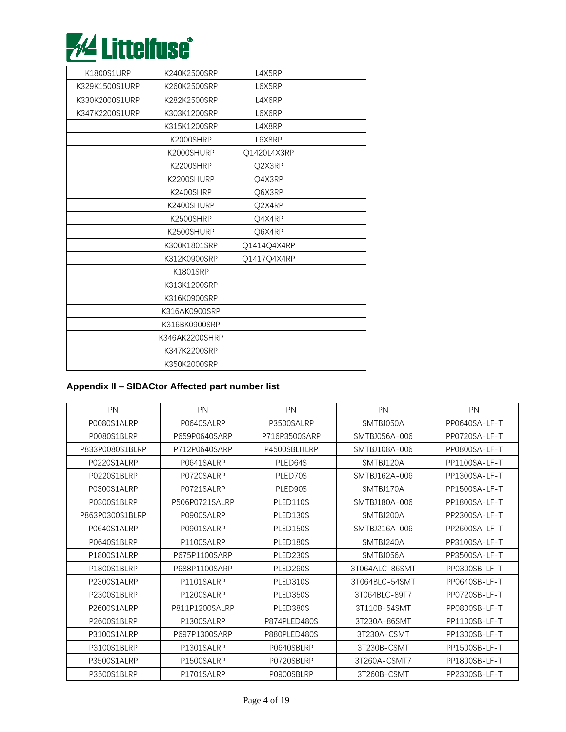

| K1800S1URP     | K240K2500SRP   | L4X5RP      |  |
|----------------|----------------|-------------|--|
| K329K1500S1URP | K260K2500SRP   | L6X5RP      |  |
| K330K2000S1URP | K282K2500SRP   | L4X6RP      |  |
| K347K2200S1URP | K303K1200SRP   | L6X6RP      |  |
|                | K315K1200SRP   | L4X8RP      |  |
|                | K2000SHRP      | L6X8RP      |  |
|                | K2000SHURP     | Q1420L4X3RP |  |
|                | K2200SHRP      | Q2X3RP      |  |
|                | K2200SHURP     | O4X3RP      |  |
|                | K2400SHRP      | Q6X3RP      |  |
|                | K2400SHURP     | Q2X4RP      |  |
|                | K2500SHRP      | Q4X4RP      |  |
|                | K2500SHURP     | Q6X4RP      |  |
|                | K300K1801SRP   | Q1414Q4X4RP |  |
|                | K312K0900SRP   | Q1417Q4X4RP |  |
|                | K1801SRP       |             |  |
|                | K313K1200SRP   |             |  |
|                | K316K0900SRP   |             |  |
|                | K316AK0900SRP  |             |  |
|                | K316BK0900SRP  |             |  |
|                | K346AK2200SHRP |             |  |
|                | K347K2200SRP   |             |  |
|                | K350K2000SRP   |             |  |

# **Appendix II – SIDACtor Affected part number list**

| PN              | <b>PN</b>      | <b>PN</b>     | PN             | PN            |
|-----------------|----------------|---------------|----------------|---------------|
| P0080S1ALRP     | P0640SALRP     | P3500SALRP    | SMTBJ050A      | PP0640SA-LF-T |
| P0080S1BLRP     | P659P0640SARP  | P716P3500SARP | SMTBJ056A-006  | PP0720SA-LF-T |
| P833P0080S1BLRP | P712P0640SARP  | P4500SBLHLRP  | SMTBJ108A-006  | PP0800SA-LF-T |
| P0220S1ALRP     | P0641SALRP     | PLED64S       | SMTBJ120A      | PP1100SA-LF-T |
| P0220S1BLRP     | P0720SALRP     | PLED70S       | SMTBJ162A-006  | PP1300SA-LF-T |
| P0300S1ALRP     | P0721SALRP     | PLED90S       | SMTBJ170A      | PP1500SA-LF-T |
| P0300S1BLRP     | P506P0721SALRP | PLED110S      | SMTBJ180A-006  | PP1800SA-LF-T |
| P863P0300S1BLRP | P0900SALRP     | PLED130S      | SMTBJ200A      | PP2300SA-LF-T |
| P0640S1ALRP     | P0901SALRP     | PLED150S      | SMTBJ216A-006  | PP2600SA-LF-T |
| P0640S1BLRP     | P1100SALRP     | PLED180S      | SMTBJ240A      | PP3100SA-LF-T |
| P1800S1ALRP     | P675P1100SARP  | PLED230S      | SMTBJ056A      | PP3500SA-LF-T |
| P1800S1BLRP     | P688P1100SARP  | PLED260S      | 3T064ALC-86SMT | PP0300SB-LF-T |
| P2300S1ALRP     | P1101SALRP     | PLED310S      | 3T064BLC-54SMT | PP0640SB-LF-T |
| P2300S1BLRP     | P1200SALRP     | PLED350S      | 3T064BLC-89T7  | PP0720SB-LF-T |
| P2600S1ALRP     | P811P1200SALRP | PLED380S      | 3T110B-54SMT   | PP0800SB-LF-T |
| P2600S1BLRP     | P1300SALRP     | P874PLED480S  | 3T230A-86SMT   | PP1100SB-LF-T |
| P3100S1ALRP     | P697P1300SARP  | P880PLED480S  | 3T230A-CSMT    | PP1300SB-LF-T |
| P3100S1BLRP     | P1301SALRP     | P0640SBLRP    | 3T230B-CSMT    | PP1500SB-LF-T |
| P3500S1ALRP     | P1500SALRP     | P0720SBLRP    | 3T260A-CSMT7   | PP1800SB-LF-T |
| P3500S1BLRP     | P1701SALRP     | P0900SBLRP    | 3T260B-CSMT    | PP2300SB-LF-T |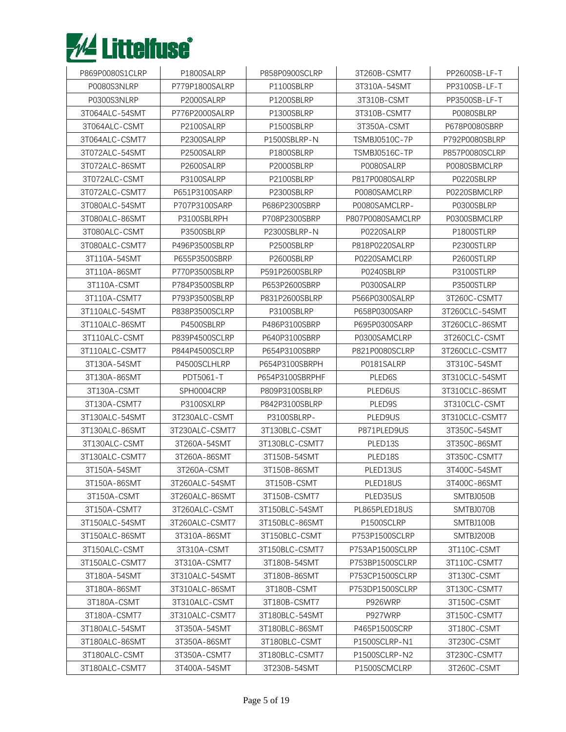

| P869P0080S1CLRP | P1800SALRP     | P858P0900SCLRP  | 3T260B-CSMT7         | PP2600SB-LF-T  |
|-----------------|----------------|-----------------|----------------------|----------------|
| P0080S3NLRP     | P779P1800SALRP | P1100SBLRP      | 3T310A-54SMT         | PP3100SB-LF-T  |
| P0300S3NLRP     | P2000SALRP     | P1200SBLRP      | 3T310B-CSMT          | PP3500SB-LF-T  |
| 3T064ALC-54SMT  | P776P2000SALRP | P1300SBLRP      | 3T310B-CSMT7         | P0080SBLRP     |
| 3T064ALC-CSMT   | P2100SALRP     | P1500SBLRP      | 3T350A-CSMT          | P678P0080SBRP  |
| 3T064ALC-CSMT7  | P2300SALRP     | P1500SBLRP-N    | <b>TSMBJ0510C-7P</b> | P792P0080SBLRP |
| 3T072ALC-54SMT  | P2500SALRP     | P1800SBLRP      | <b>TSMBJ0516C-TP</b> | P857P0080SCLRP |
| 3T072ALC-86SMT  | P2600SALRP     | P2000SBLRP      | P0080SALRP           | P0080SBMCLRP   |
| 3T072ALC-CSMT   | P3100SALRP     | P2100SBLRP      | P817P0080SALRP       | P0220SBLRP     |
| 3T072ALC-CSMT7  | P651P3100SARP  | P2300SBLRP      | P0080SAMCLRP         | P0220SBMCLRP   |
| 3T080ALC-54SMT  | P707P3100SARP  | P686P2300SBRP   | P0080SAMCLRP-        | P0300SBLRP     |
| 3T080ALC-86SMT  | P3100SBLRPH    | P708P2300SBRP   | P807P0080SAMCLRP     | P0300SBMCLRP   |
| 3T080ALC-CSMT   | P3500SBLRP     | P2300SBLRP-N    | P0220SALRP           | P1800STLRP     |
| 3T080ALC-CSMT7  | P496P3500SBLRP | P2500SBLRP      | P818P0220SALRP       | P2300STLRP     |
| 3T110A-54SMT    | P655P3500SBRP  | P2600SBLRP      | P0220SAMCLRP         | P2600STLRP     |
| 3T110A-86SMT    | P770P3500SBLRP | P591P2600SBLRP  | P0240SBLRP           | P3100STLRP     |
| 3T110A-CSMT     | P784P3500SBLRP | P653P2600SBRP   | P0300SALRP           | P3500STLRP     |
| 3T110A-CSMT7    | P793P3500SBLRP | P831P2600SBLRP  | P566P0300SALRP       | 3T260C-CSMT7   |
| 3T110ALC-54SMT  | P838P3500SCLRP | P3100SBLRP      | P658P0300SARP        | 3T260CLC-54SMT |
| 3T110ALC-86SMT  | P4500SBLRP     | P486P3100SBRP   | P695P0300SARP        | 3T260CLC-86SMT |
| 3T110ALC-CSMT   | P839P4500SCLRP | P640P3100SBRP   | P0300SAMCLRP         | 3T260CLC-CSMT  |
| 3T110ALC-CSMT7  | P844P4500SCLRP | P654P3100SBRP   | P821P0080SCLRP       | 3T260CLC-CSMT7 |
| 3T130A-54SMT    | P4500SCLHLRP   | P654P3100SBRPH  | P0181SALRP           | 3T310C-54SMT   |
| 3T130A-86SMT    | PDT5061-T      | P654P3100SBRPHF | PLED <sub>6</sub> S  | 3T310CLC-54SMT |
| 3T130A-CSMT     | SPH0004CRP     | P809P3100SBLRP  | PLED6US              | 3T310CLC-86SMT |
| 3T130A-CSMT7    | P3100SXLRP     | P842P3100SBLRP  | PLED9S               | 3T310CLC-CSMT  |
| 3T130ALC-54SMT  | 3T230ALC-CSMT  | P3100SBLRP-     | PLED9US              | 3T310CLC-CSMT7 |
| 3T130ALC-86SMT  | 3T230ALC-CSMT7 | 3T130BLC-CSMT   | P871PLED9US          | 3T350C-54SMT   |
| 3T130ALC-CSMT   | 3T260A-54SMT   | 3T130BLC-CSMT7  | PLED13S              | 3T350C-86SMT   |
| 3T130ALC-CSMT7  | 3T260A-86SMT   | 3T150B-54SMT    | PLED18S              | 3T350C-CSMT7   |
| 3T150A-54SMT    | 3T260A-CSMT    | 3T150B-86SMT    | PLED13US             | 3T400C-54SMT   |
| 3T150A-86SMT    | 3T260ALC-54SMT | 3T150B-CSMT     | PLED18US             | 3T400C-86SMT   |
| 3T150A-CSMT     | 3T260ALC-86SMT | 3T150B-CSMT7    | PLED35US             | SMTBJ050B      |
| 3T150A-CSMT7    | 3T260ALC-CSMT  | 3T150BLC-54SMT  | PL865PLED18US        | SMTBJ070B      |
| 3T150ALC-54SMT  | 3T260ALC-CSMT7 | 3T150BLC-86SMT  | P1500SCLRP           | SMTBJ100B      |
| 3T150ALC-86SMT  | 3T310A-86SMT   | 3T150BLC-CSMT   | P753P1500SCLRP       | SMTBJ200B      |
| 3T150ALC-CSMT   | 3T310A-CSMT    | 3T150BLC-CSMT7  | P753AP1500SCLRP      | 3T110C-CSMT    |
| 3T150ALC-CSMT7  | 3T310A-CSMT7   | 3T180B-54SMT    | P753BP1500SCLRP      | 3T110C-CSMT7   |
| 3T180A-54SMT    | 3T310ALC-54SMT | 3T180B-86SMT    | P753CP1500SCLRP      | 3T130C-CSMT    |
| 3T180A-86SMT    | 3T310ALC-86SMT | 3T180B-CSMT     | P753DP1500SCLRP      | 3T130C-CSMT7   |
| 3T180A-CSMT     | 3T310ALC-CSMT  | 3T180B-CSMT7    | P926WRP              | 3T150C-CSMT    |
| 3T180A-CSMT7    | 3T310ALC-CSMT7 | 3T180BLC-54SMT  | P927WRP              | 3T150C-CSMT7   |
| 3T180ALC-54SMT  | 3T350A-54SMT   | 3T180BLC-86SMT  | P465P1500SCRP        | 3T180C-CSMT    |
| 3T180ALC-86SMT  | 3T350A-86SMT   | 3T180BLC-CSMT   | P1500SCLRP-N1        | 3T230C-CSMT    |
| 3T180ALC-CSMT   | 3T350A-CSMT7   | 3T180BLC-CSMT7  | P1500SCLRP-N2        | 3T230C-CSMT7   |
| 3T180ALC-CSMT7  | 3T400A-54SMT   | 3T230B-54SMT    | P1500SCMCLRP         | 3T260C-CSMT    |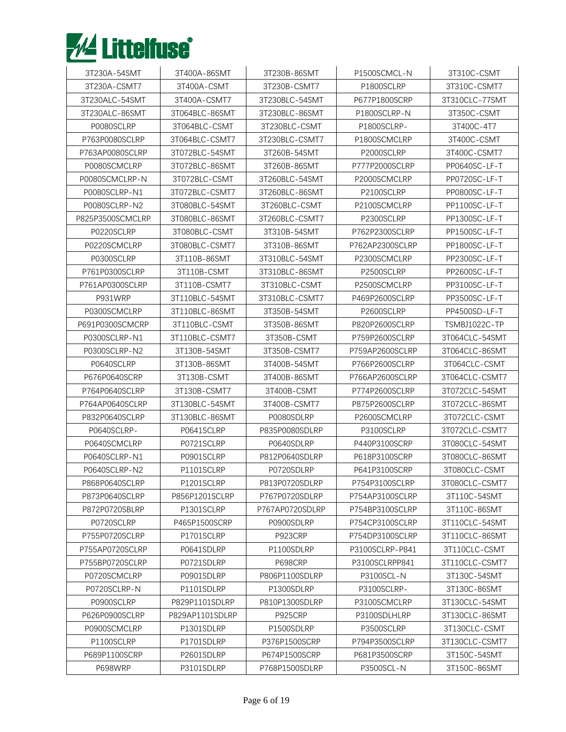

| 3T230A-54SMT     | 3T400A-86SMT    | 3T230B-86SMT    | P1500SCMCL-N    | 3T310C-CSMT          |
|------------------|-----------------|-----------------|-----------------|----------------------|
| 3T230A-CSMT7     | 3T400A-CSMT     | 3T230B-CSMT7    | P1800SCLRP      | 3T310C-CSMT7         |
| 3T230ALC-54SMT   | 3T400A-CSMT7    | 3T230BLC-54SMT  | P677P1800SCRP   | 3T310CLC-77SMT       |
| 3T230ALC-86SMT   | 3T064BLC-86SMT  | 3T230BLC-86SMT  | P1800SCLRP-N    | 3T350C-CSMT          |
| P0080SCLRP       | 3T064BLC-CSMT   | 3T230BLC-CSMT   | P1800SCLRP-     | 3T400C-4T7           |
| P763P0080SCLRP   | 3T064BLC-CSMT7  | 3T230BLC-CSMT7  | P1800SCMCLRP    | 3T400C-CSMT          |
| P763AP0080SCLRP  | 3T072BLC-54SMT  | 3T260B-54SMT    | P2000SCLRP      | 3T400C-CSMT7         |
| P0080SCMCLRP     | 3T072BLC-86SMT  | 3T260B-86SMT    | P777P2000SCLRP  | PP0640SC-LF-T        |
| P0080SCMCLRP-N   | 3T072BLC-CSMT   | 3T260BLC-54SMT  | P2000SCMCLRP    | PP0720SC-LF-T        |
| P0080SCLRP-N1    | 3T072BLC-CSMT7  | 3T260BLC-86SMT  | P2100SCLRP      | PP0800SC-LF-T        |
| P0080SCLRP-N2    | 3T080BLC-54SMT  | 3T260BLC-CSMT   | P2100SCMCLRP    | PP1100SC-LF-T        |
| P825P3500SCMCLRP | 3T080BLC-86SMT  | 3T260BLC-CSMT7  | P2300SCLRP      | PP1300SC-LF-T        |
| P0220SCLRP       | 3T080BLC-CSMT   | 3T310B-54SMT    | P762P2300SCLRP  | PP1500SC-LF-T        |
| P0220SCMCLRP     | 3T080BLC-CSMT7  | 3T310B-86SMT    | P762AP2300SCLRP | PP1800SC-LF-T        |
| P0300SCLRP       | 3T110B-86SMT    | 3T310BLC-54SMT  | P2300SCMCLRP    | PP2300SC-LF-T        |
| P761P0300SCLRP   | 3T110B-CSMT     | 3T310BLC-86SMT  | P2500SCLRP      | PP2600SC-LF-T        |
| P761AP0300SCLRP  | 3T110B-CSMT7    | 3T310BLC-CSMT   | P2500SCMCLRP    | PP3100SC-LF-T        |
| P931WRP          | 3T110BLC-54SMT  | 3T310BLC-CSMT7  | P469P2600SCLRP  | PP3500SC-LF-T        |
| P0300SCMCLRP     | 3T110BLC-86SMT  | 3T350B-54SMT    | P2600SCLRP      | PP4500SD-LF-T        |
| P691P0300SCMCRP  | 3T110BLC-CSMT   | 3T350B-86SMT    | P820P2600SCLRP  | <b>TSMBJ1022C-TP</b> |
| P0300SCLRP-N1    | 3T110BLC-CSMT7  | 3T350B-CSMT     | P759P2600SCLRP  | 3T064CLC-54SMT       |
| P0300SCLRP-N2    | 3T130B-54SMT    | 3T350B-CSMT7    | P759AP2600SCLRP | 3T064CLC-86SMT       |
| P0640SCLRP       | 3T130B-86SMT    | 3T400B-54SMT    | P766P2600SCLRP  | 3T064CLC-CSMT        |
| P676P0640SCRP    | 3T130B-CSMT     | 3T400B-86SMT    | P766AP2600SCLRP | 3T064CLC-CSMT7       |
| P764P0640SCLRP   | 3T130B-CSMT7    | 3T400B-CSMT     | P774P2600SCLRP  | 3T072CLC-54SMT       |
| P764AP0640SCLRP  | 3T130BLC-54SMT  | 3T400B-CSMT7    | P875P2600SCLRP  | 3T072CLC-86SMT       |
| P832P0640SCLRP   | 3T130BLC-86SMT  | P0080SDLRP      | P2600SCMCLRP    | 3T072CLC-CSMT        |
| P0640SCLRP-      | P0641SCLRP      | P835P0080SDLRP  | P3100SCLRP      | 3T072CLC-CSMT7       |
| P0640SCMCLRP     | P0721SCLRP      | P0640SDLRP      | P440P3100SCRP   | 3T080CLC-54SMT       |
| P0640SCLRP-N1    | P0901SCLRP      | P812P0640SDLRP  | P618P3100SCRP   | 3T080CLC-86SMT       |
| P0640SCLRP-N2    | P1101SCLRP      | P0720SDLRP      | P641P3100SCRP   | 3T080CLC-CSMT        |
| P868P0640SCLRP   | P1201SCLRP      | P813P0720SDLRP  | P754P3100SCLRP  | 3T080CLC-CSMT7       |
| P873P0640SCLRP   | P856P1201SCLRP  | P767P0720SDLRP  | P754AP3100SCLRP | 3T110C-54SMT         |
| P872P0720SBLRP   | P1301SCLRP      | P767AP0720SDLRP | P754BP3100SCLRP | 3T110C-86SMT         |
| P0720SCLRP       | P465P1500SCRP   | P0900SDLRP      | P754CP3100SCLRP | 3T110CLC-54SMT       |
| P755P0720SCLRP   | P1701SCLRP      | P923CRP         | P754DP3100SCLRP | 3T110CLC-86SMT       |
| P755AP0720SCLRP  | P0641SDLRP      | P1100SDLRP      | P3100SCLRP-P841 | 3T110CLC-CSMT        |
| P755BP0720SCLRP  | P0721SDLRP      | P698CRP         | P3100SCLRPP841  | 3T110CLC-CSMT7       |
| P0720SCMCLRP     | P0901SDLRP      | P806P1100SDLRP  | P3100SCL-N      | 3T130C-54SMT         |
| P0720SCLRP-N     | P1101SDLRP      | P1300SDLRP      | P3100SCLRP-     | 3T130C-86SMT         |
| P0900SCLRP       | P829P1101SDLRP  | P810P1300SDLRP  | P3100SCMCLRP    | 3T130CLC-54SMT       |
| P626P0900SCLRP   | P829AP1101SDLRP | <b>P925CRP</b>  | P3100SDLHLRP    | 3T130CLC-86SMT       |
| P0900SCMCLRP     | P1301SDLRP      | P1500SDLRP      | P3500SCLRP      | 3T130CLC-CSMT        |
| P1100SCLRP       | P1701SDLRP      | P376P1500SCRP   | P794P3500SCLRP  | 3T130CLC-CSMT7       |
| P689P1100SCRP    | P2601SDLRP      | P674P1500SCRP   | P681P3500SCRP   | 3T150C-54SMT         |
| P698WRP          | P3101SDLRP      | P768P1500SDLRP  | P3500SCL-N      | 3T150C-86SMT         |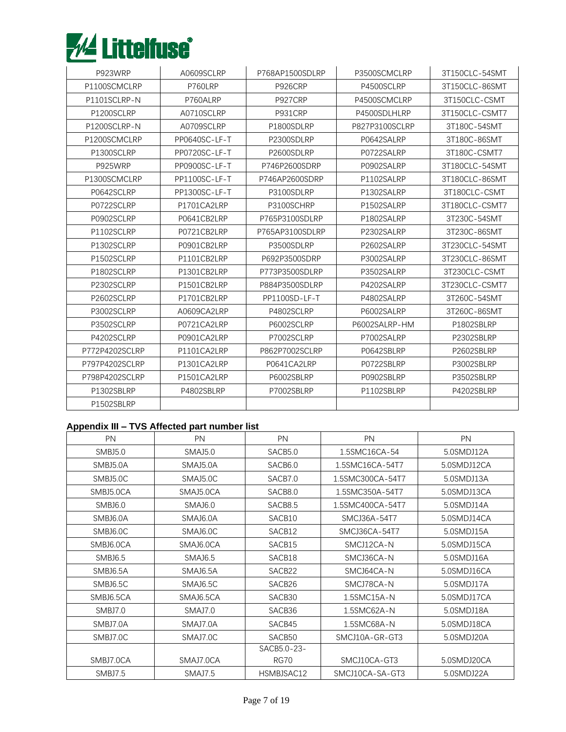

| P923WRP        | A0609SCLRP    | P768AP1500SDLRP | P3500SCMCLRP   | 3T150CLC-54SMT |
|----------------|---------------|-----------------|----------------|----------------|
| P1100SCMCLRP   | P760LRP       | P926CRP         | P4500SCLRP     | 3T150CLC-86SMT |
| P1101SCLRP-N   | P760ALRP      | P927CRP         | P4500SCMCLRP   | 3T150CLC-CSMT  |
| P1200SCLRP     | A0710SCLRP    | P931CRP         | P4500SDLHLRP   | 3T150CLC-CSMT7 |
| P1200SCLRP-N   | A0709SCLRP    | P1800SDLRP      | P827P3100SCLRP | 3T180C-54SMT   |
| P1200SCMCLRP   | PP0640SC-LF-T | P2300SDLRP      | P0642SALRP     | 3T180C-86SMT   |
| P1300SCLRP     | PP0720SC-LF-T | P2600SDLRP      | P0722SALRP     | 3T180C-CSMT7   |
| P925WRP        | PP0900SC-LF-T | P746P2600SDRP   | P0902SALRP     | 3T180CLC-54SMT |
| P1300SCMCLRP   | PP1100SC-LF-T | P746AP2600SDRP  | P1102SALRP     | 3T180CLC-86SMT |
| P0642SCLRP     | PP1300SC-LF-T | P3100SDLRP      | P1302SALRP     | 3T180CLC-CSMT  |
| P0722SCLRP     | P1701CA2LRP   | P3100SCHRP      | P1502SALRP     | 3T180CLC-CSMT7 |
| P0902SCLRP     | P0641CB2LRP   | P765P3100SDLRP  | P1802SALRP     | 3T230C-54SMT   |
| P1102SCLRP     | P0721CB2LRP   | P765AP3100SDLRP | P2302SALRP     | 3T230C-86SMT   |
| P1302SCLRP     | P0901CB2LRP   | P3500SDLRP      | P2602SALRP     | 3T230CLC-54SMT |
| P1502SCLRP     | P1101CB2LRP   | P692P3500SDRP   | P3002SALRP     | 3T230CLC-86SMT |
| P1802SCLRP     | P1301CB2LRP   | P773P3500SDLRP  | P3502SALRP     | 3T230CLC-CSMT  |
| P2302SCLRP     | P1501CB2LRP   | P884P3500SDLRP  | P4202SALRP     | 3T230CLC-CSMT7 |
| P2602SCLRP     | P1701CB2LRP   | PP1100SD-LF-T   | P4802SALRP     | 3T260C-54SMT   |
| P3002SCLRP     | A0609CA2LRP   | P4802SCLRP      | P6002SALRP     | 3T260C-86SMT   |
| P3502SCLRP     | P0721CA2LRP   | P6002SCLRP      | P6002SALRP-HM  | P1802SBLRP     |
| P4202SCLRP     | P0901CA2LRP   | P7002SCLRP      | P7002SALRP     | P2302SBLRP     |
| P772P4202SCLRP | P1101CA2LRP   | P862P7002SCLRP  | P0642SBLRP     | P2602SBLRP     |
| P797P4202SCLRP | P1301CA2LRP   | P0641CA2LRP     | P0722SBLRP     | P3002SBLRP     |
| P798P4202SCLRP | P1501CA2LRP   | P6002SBLRP      | P0902SBLRP     | P3502SBLRP     |
| P1302SBLRP     | P4802SBLRP    | P7002SBLRP      | P1102SBLRP     | P4202SBLRP     |
| P1502SBLRP     |               |                 |                |                |

## **Appendix III – TVS Affected part number list**

| PN        | <b>PN</b>           | PN                  | <b>PN</b>        | PN          |
|-----------|---------------------|---------------------|------------------|-------------|
| SMBJ5.0   | <b>SMAJ5.0</b>      | SACB5.0             | 1.5SMC16CA-54    | 5.0SMDJ12A  |
| SMBJ5.0A  | SMAJ5.0A            | SACB <sub>6.0</sub> | 1.5SMC16CA-54T7  | 5.0SMDJ12CA |
| SMBJ5.0C  | SMAJ5.0C            | SACB7.0             | 1.5SMC300CA-54T7 | 5.0SMDJ13A  |
| SMBJ5.0CA | SMAJ5.0CA           | SACB8.0             | 1.5SMC350A-54T7  | 5.0SMDJ13CA |
| SMBJ6.0   | SMAJ6.0             | SACB8.5             | 1.5SMC400CA-54T7 | 5.0SMDJ14A  |
| SMBJ6.0A  | SMAJ6.0A            | SACB10              | SMCJ36A-54T7     | 5.0SMDJ14CA |
| SMBJ6.0C  | SMAJ6.0C            | SACB12              | SMCJ36CA-54T7    | 5.0SMDJ15A  |
| SMBJ6.0CA | SMAJ6.0CA           | SACB15              | SMCJ12CA-N       | 5.0SMDJ15CA |
| SMBJ6.5   | SMAJ <sub>6.5</sub> | SACB18              | SMCJ36CA-N       | 5.0SMDJ16A  |
| SMBJ6.5A  | SMAJ6.5A            | SACB22              | SMCJ64CA-N       | 5.0SMDJ16CA |
| SMBJ6.5C  | SMAJ6.5C            | SACB26              | SMCJ78CA-N       | 5.0SMDJ17A  |
| SMBJ6.5CA | SMAJ6.5CA           | SACB30              | 1.5SMC15A-N      | 5.0SMDJ17CA |
| SMBJ7.0   | <b>SMAJ7.0</b>      | SACB36              | 1.5SMC62A-N      | 5.0SMDJ18A  |
| SMBJ7.0A  | SMAJ7.0A            | SACB45              | 1.5SMC68A-N      | 5.0SMDJ18CA |
| SMBJ7.0C  | SMAJ7.0C            | SACB50              | SMCJ10A-GR-GT3   | 5.0SMDJ20A  |
|           |                     | SACB5.0-23-         |                  |             |
| SMBJ7.0CA | SMAJ7.0CA           | RG70                | SMCJ10CA-GT3     | 5.0SMDJ20CA |
| SMBJ7.5   | SMAJ7.5             | HSMBJSAC12          | SMCJ10CA-SA-GT3  | 5.0SMDJ22A  |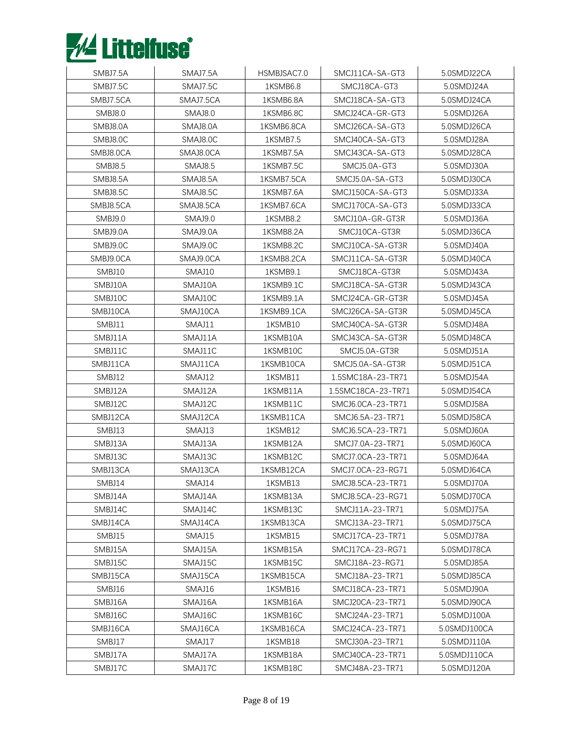

| SMBJ7.5A       | SMAJ7.5A       | HSMBJSAC7.0 | SMCJ11CA-SA-GT3    | 5.0SMDJ22CA  |
|----------------|----------------|-------------|--------------------|--------------|
| SMBJ7.5C       | SMAJ7.5C       | 1KSMB6.8    | SMCJ18CA-GT3       | 5.0SMDJ24A   |
| SMBJ7.5CA      | SMAJ7.5CA      | 1KSMB6.8A   | SMCJ18CA-SA-GT3    | 5.0SMDJ24CA  |
| SMBJ8.0        | <b>SMAJ8.0</b> | 1KSMB6.8C   | SMCJ24CA-GR-GT3    | 5.0SMDJ26A   |
| SMBJ8.0A       | SMAJ8.0A       | 1KSMB6.8CA  | SMCJ26CA-SA-GT3    | 5.0SMDJ26CA  |
| SMBJ8.0C       | SMAJ8.0C       | 1KSMB7.5    | SMCJ40CA-SA-GT3    | 5.0SMDJ28A   |
| SMBJ8.0CA      | SMAJ8.0CA      | 1KSMB7.5A   | SMCJ43CA-SA-GT3    | 5.0SMDJ28CA  |
| <b>SMBJ8.5</b> | <b>SMAJ8.5</b> | 1KSMB7.5C   | SMCJ5.0A-GT3       | 5.0SMDJ30A   |
| SMBJ8.5A       | SMAJ8.5A       | 1KSMB7.5CA  | SMCJ5.0A-SA-GT3    | 5.0SMDJ30CA  |
| SMBJ8.5C       | SMAJ8.5C       | 1KSMB7.6A   | SMCJ150CA-SA-GT3   | 5.0SMDJ33A   |
| SMBJ8.5CA      | SMAJ8.5CA      | 1KSMB7.6CA  | SMCJ170CA-SA-GT3   | 5.0SMDJ33CA  |
| SMBJ9.0        | <b>SMAJ9.0</b> | 1KSMB8.2    | SMCJ10A-GR-GT3R    | 5.0SMDJ36A   |
| SMBJ9.0A       | SMAJ9.0A       | 1KSMB8.2A   | SMCJ10CA-GT3R      | 5.0SMDJ36CA  |
| SMBJ9.0C       | SMAJ9.0C       | 1KSMB8.2C   | SMCJ10CA-SA-GT3R   | 5.0SMDJ40A   |
| SMBJ9.0CA      | SMAJ9.0CA      | 1KSMB8.2CA  | SMCJ11CA-SA-GT3R   | 5.0SMDJ40CA  |
| SMBJ10         | SMAJ10         | 1KSMB9.1    | SMCJ18CA-GT3R      | 5.0SMDJ43A   |
| SMBJ10A        | SMAJ10A        | 1KSMB9.1C   | SMCJ18CA-SA-GT3R   | 5.0SMDJ43CA  |
| SMBJ10C        | SMAJ10C        | 1KSMB9.1A   | SMCJ24CA-GR-GT3R   | 5.0SMDJ45A   |
| SMBJ10CA       | SMAJ10CA       | 1KSMB9.1CA  | SMCJ26CA-SA-GT3R   | 5.0SMDJ45CA  |
| SMBJ11         | SMAJ11         | 1KSMB10     | SMCJ40CA-SA-GT3R   | 5.0SMDJ48A   |
| SMBJ11A        | SMAJ11A        | 1KSMB10A    | SMCJ43CA-SA-GT3R   | 5.0SMDJ48CA  |
| SMBJ11C        | SMAJ11C        | 1KSMB10C    | SMCJ5.0A-GT3R      | 5.0SMDJ51A   |
| SMBJ11CA       | SMAJ11CA       | 1KSMB10CA   | SMCJ5.0A-SA-GT3R   | 5.0SMDJ51CA  |
| SMBJ12         | SMAJ12         | 1KSMB11     | 1.5SMC18A-23-TR71  | 5.0SMDJ54A   |
| SMBJ12A        | SMAJ12A        | 1KSMB11A    | 1.5SMC18CA-23-TR71 | 5.0SMDJ54CA  |
| SMBJ12C        | SMAJ12C        | 1KSMB11C    | SMCJ6.0CA-23-TR71  | 5.0SMDJ58A   |
| SMBJ12CA       | SMAJ12CA       | 1KSMB11CA   | SMCJ6.5A-23-TR71   | 5.0SMDJ58CA  |
| SMBJ13         | SMAJ13         | 1KSMB12     | SMCJ6.5CA-23-TR71  | 5.0SMDJ60A   |
| SMBJ13A        | SMAJ13A        | 1KSMB12A    | SMCJ7.0A-23-TR71   | 5.0SMDJ60CA  |
| SMBJ13C        | SMAJ13C        | 1KSMB12C    | SMCJ7.0CA-23-TR71  | 5.0SMDJ64A   |
| SMBJ13CA       | SMAJ13CA       | 1KSMB12CA   | SMCJ7.0CA-23-RG71  | 5.0SMDJ64CA  |
| SMBJ14         | SMAJ14         | 1KSMB13     | SMCJ8.5CA-23-TR71  | 5.0SMDJ70A   |
| SMBJ14A        | SMAJ14A        | 1KSMB13A    | SMCJ8.5CA-23-RG71  | 5.0SMDJ70CA  |
| SMBJ14C        | SMAJ14C        | 1KSMB13C    | SMCJ11A-23-TR71    | 5.0SMDJ75A   |
| SMBJ14CA       | SMAJ14CA       | 1KSMB13CA   | SMCJ13A-23-TR71    | 5.0SMDJ75CA  |
| SMBJ15         | SMAJ15         | 1KSMB15     | SMCJ17CA-23-TR71   | 5.0SMDJ78A   |
| SMBJ15A        | SMAJ15A        | 1KSMB15A    | SMCJ17CA-23-RG71   | 5.0SMDJ78CA  |
| SMBJ15C        | SMAJ15C        | 1KSMB15C    | SMCJ18A-23-RG71    | 5.0SMDJ85A   |
| SMBJ15CA       | SMAJ15CA       | 1KSMB15CA   | SMCJ18A-23-TR71    | 5.0SMDJ85CA  |
| SMBJ16         | SMAJ16         | 1KSMB16     | SMCJ18CA-23-TR71   | 5.0SMDJ90A   |
| SMBJ16A        | SMAJ16A        | 1KSMB16A    | SMCJ20CA-23-TR71   | 5.0SMDJ90CA  |
| SMBJ16C        | SMAJ16C        | 1KSMB16C    | SMCJ24A-23-TR71    | 5.0SMDJ100A  |
| SMBJ16CA       | SMAJ16CA       | 1KSMB16CA   | SMCJ24CA-23-TR71   | 5.0SMDJ100CA |
| SMBJ17         | SMAJ17         | 1KSMB18     | SMCJ30A-23-TR71    | 5.0SMDJ110A  |
| SMBJ17A        | SMAJ17A        | 1KSMB18A    | SMCJ40CA-23-TR71   | 5.0SMDJ110CA |
| SMBJ17C        | SMAJ17C        | 1KSMB18C    | SMCJ48A-23-TR71    | 5.0SMDJ120A  |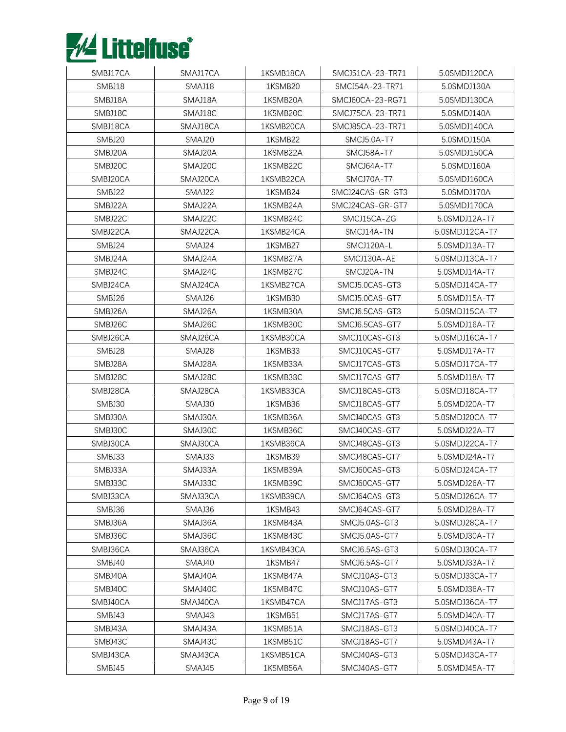

| SMBJ17CA | SMAJ17CA | 1KSMB18CA | SMCJ51CA-23-TR71  | 5.0SMDJ120CA   |
|----------|----------|-----------|-------------------|----------------|
| SMBJ18   | SMAJ18   | 1KSMB20   | SMCJ54A-23-TR71   | 5.0SMDJ130A    |
| SMBJ18A  | SMAJ18A  | 1KSMB20A  | SMCJ60CA-23-RG71  | 5.0SMDJ130CA   |
| SMBJ18C  | SMAJ18C  | 1KSMB20C  | SMCJ75CA-23-TR71  | 5.0SMDJ140A    |
| SMBJ18CA | SMAJ18CA | 1KSMB20CA | SMCJ85CA-23-TR71  | 5.0SMDJ140CA   |
| SMBJ20   | SMAJ20   | 1KSMB22   | SMCJ5.0A-T7       | 5.0SMDJ150A    |
| SMBJ20A  | SMAJ20A  | 1KSMB22A  | <b>SMCJ58A-T7</b> | 5.0SMDJ150CA   |
| SMBJ20C  | SMAJ20C  | 1KSMB22C  | SMCJ64A-T7        | 5.0SMDJ160A    |
| SMBJ20CA | SMAJ20CA | 1KSMB22CA | SMCJ70A-T7        | 5.0SMDJ160CA   |
| SMBJ22   | SMAJ22   | 1KSMB24   | SMCJ24CAS-GR-GT3  | 5.0SMDJ170A    |
| SMBJ22A  | SMAJ22A  | 1KSMB24A  | SMCJ24CAS-GR-GT7  | 5.0SMDJ170CA   |
| SMBJ22C  | SMAJ22C  | 1KSMB24C  | SMCJ15CA-ZG       | 5.0SMDJ12A-T7  |
| SMBJ22CA | SMAJ22CA | 1KSMB24CA | SMCJ14A-TN        | 5.0SMDJ12CA-T7 |
| SMBJ24   | SMAJ24   | 1KSMB27   | SMCJ120A-L        | 5.0SMDJ13A-T7  |
| SMBJ24A  | SMAJ24A  | 1KSMB27A  | SMCJ130A-AE       | 5.0SMDJ13CA-T7 |
| SMBJ24C  | SMAJ24C  | 1KSMB27C  | SMCJ20A-TN        | 5.0SMDJ14A-T7  |
| SMBJ24CA | SMAJ24CA | 1KSMB27CA | SMCJ5.0CAS-GT3    | 5.0SMDJ14CA-T7 |
| SMBJ26   | SMAJ26   | 1KSMB30   | SMCJ5.0CAS-GT7    | 5.0SMDJ15A-T7  |
| SMBJ26A  | SMAJ26A  | 1KSMB30A  | SMCJ6.5CAS-GT3    | 5.0SMDJ15CA-T7 |
| SMBJ26C  | SMAJ26C  | 1KSMB30C  | SMCJ6.5CAS-GT7    | 5.0SMDJ16A-T7  |
| SMBJ26CA | SMAJ26CA | 1KSMB30CA | SMCJ10CAS-GT3     | 5.0SMDJ16CA-T7 |
| SMBJ28   | SMAJ28   | 1KSMB33   | SMCJ10CAS-GT7     | 5.0SMDJ17A-T7  |
| SMBJ28A  | SMAJ28A  | 1KSMB33A  | SMCJ17CAS-GT3     | 5.0SMDJ17CA-T7 |
| SMBJ28C  | SMAJ28C  | 1KSMB33C  | SMCJ17CAS-GT7     | 5.0SMDJ18A-T7  |
| SMBJ28CA | SMAJ28CA | 1KSMB33CA | SMCJ18CAS-GT3     | 5.0SMDJ18CA-T7 |
| SMBJ30   | SMAJ30   | 1KSMB36   | SMCJ18CAS-GT7     | 5.0SMDJ20A-T7  |
| SMBJ30A  | SMAJ30A  | 1KSMB36A  | SMCJ40CAS-GT3     | 5.0SMDJ20CA-T7 |
| SMBJ30C  | SMAJ30C  | 1KSMB36C  | SMCJ40CAS-GT7     | 5.0SMDJ22A-T7  |
| SMBJ30CA | SMAJ30CA | 1KSMB36CA | SMCJ48CAS-GT3     | 5.0SMDJ22CA-T7 |
| SMBJ33   | SMAJ33   | 1KSMB39   | SMCJ48CAS-GT7     | 5.0SMDJ24A-T7  |
| SMBJ33A  | SMAJ33A  | 1KSMB39A  | SMCJ60CAS-GT3     | 5.0SMDJ24CA-T7 |
| SMBJ33C  | SMAJ33C  | 1KSMB39C  | SMCJ60CAS-GT7     | 5.0SMDJ26A-T7  |
| SMBJ33CA | SMAJ33CA | 1KSMB39CA | SMCJ64CAS-GT3     | 5.0SMDJ26CA-T7 |
| SMBJ36   | SMAJ36   | 1KSMB43   | SMCJ64CAS-GT7     | 5.0SMDJ28A-T7  |
| SMBJ36A  | SMAJ36A  | 1KSMB43A  | SMCJ5.0AS-GT3     | 5.0SMDJ28CA-T7 |
| SMBJ36C  | SMAJ36C  | 1KSMB43C  | SMCJ5.0AS-GT7     | 5.0SMDJ30A-T7  |
| SMBJ36CA | SMAJ36CA | 1KSMB43CA | SMCJ6.5AS-GT3     | 5.0SMDJ30CA-T7 |
| SMBJ40   | SMAJ40   | 1KSMB47   | SMCJ6.5AS-GT7     | 5.0SMDJ33A-T7  |
| SMBJ40A  | SMAJ40A  | 1KSMB47A  | SMCJ10AS-GT3      | 5.0SMDJ33CA-T7 |
| SMBJ40C  | SMAJ40C  | 1KSMB47C  | SMCJ10AS-GT7      | 5.0SMDJ36A-T7  |
| SMBJ40CA | SMAJ40CA | 1KSMB47CA | SMCJ17AS-GT3      | 5.0SMDJ36CA-T7 |
| SMBJ43   | SMAJ43   | 1KSMB51   | SMCJ17AS-GT7      | 5.0SMDJ40A-T7  |
| SMBJ43A  | SMAJ43A  | 1KSMB51A  | SMCJ18AS-GT3      | 5.0SMDJ40CA-T7 |
| SMBJ43C  | SMAJ43C  | 1KSMB51C  | SMCJ18AS-GT7      | 5.0SMDJ43A-T7  |
| SMBJ43CA | SMAJ43CA | 1KSMB51CA | SMCJ40AS-GT3      | 5.0SMDJ43CA-T7 |
| SMBJ45   | SMAJ45   | 1KSMB56A  | SMCJ40AS-GT7      | 5.0SMDJ45A-T7  |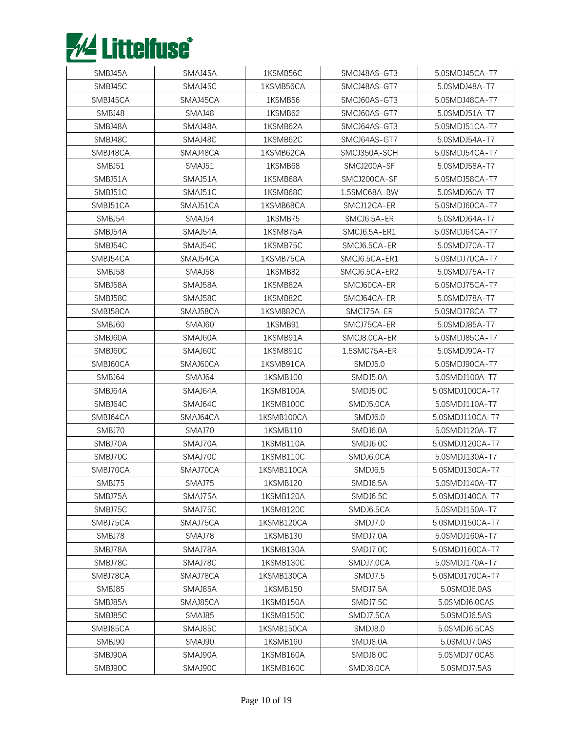

| SMBJ45A  | SMAJ45A  | 1KSMB56C   | SMCJ48AS-GT3   | 5.0SMDJ45CA-T7  |
|----------|----------|------------|----------------|-----------------|
| SMBJ45C  | SMAJ45C  | 1KSMB56CA  | SMCJ48AS-GT7   | 5.0SMDJ48A-T7   |
| SMBJ45CA | SMAJ45CA | 1KSMB56    | SMCJ60AS-GT3   | 5.0SMDJ48CA-T7  |
| SMBJ48   | SMAJ48   | 1KSMB62    | SMCJ60AS-GT7   | 5.0SMDJ51A-T7   |
| SMBJ48A  | SMAJ48A  | 1KSMB62A   | SMCJ64AS-GT3   | 5.0SMDJ51CA-T7  |
| SMBJ48C  | SMAJ48C  | 1KSMB62C   | SMCJ64AS-GT7   | 5.0SMDJ54A-T7   |
| SMBJ48CA | SMAJ48CA | 1KSMB62CA  | SMCJ350A-SCH   | 5.0SMDJ54CA-T7  |
| SMBJ51   | SMAJ51   | 1KSMB68    | SMCJ200A-SF    | 5.0SMDJ58A-T7   |
| SMBJ51A  | SMAJ51A  | 1KSMB68A   | SMCJ200CA-SF   | 5.0SMDJ58CA-T7  |
| SMBJ51C  | SMAJ51C  | 1KSMB68C   | 1.5SMC68A-BW   | 5.0SMDJ60A-T7   |
| SMBJ51CA | SMAJ51CA | 1KSMB68CA  | SMCJ12CA-ER    | 5.0SMDJ60CA-T7  |
| SMBJ54   | SMAJ54   | 1KSMB75    | SMCJ6.5A-ER    | 5.0SMDJ64A-T7   |
| SMBJ54A  | SMAJ54A  | 1KSMB75A   | SMCJ6.5A-ER1   | 5.0SMDJ64CA-T7  |
| SMBJ54C  | SMAJ54C  | 1KSMB75C   | SMCJ6.5CA-ER   | 5.0SMDJ70A-T7   |
| SMBJ54CA | SMAJ54CA | 1KSMB75CA  | SMCJ6.5CA-ER1  | 5.0SMDJ70CA-T7  |
| SMBJ58   | SMAJ58   | 1KSMB82    | SMCJ6.5CA-ER2  | 5.0SMDJ75A-T7   |
| SMBJ58A  | SMAJ58A  | 1KSMB82A   | SMCJ60CA-ER    | 5.0SMDJ75CA-T7  |
| SMBJ58C  | SMAJ58C  | 1KSMB82C   | SMCJ64CA-ER    | 5.0SMDJ78A-T7   |
| SMBJ58CA | SMAJ58CA | 1KSMB82CA  | SMCJ75A-ER     | 5.0SMDJ78CA-T7  |
| SMBJ60   | SMAJ60   | 1KSMB91    | SMCJ75CA-ER    | 5.0SMDJ85A-T7   |
| SMBJ60A  | SMAJ60A  | 1KSMB91A   | SMCJ8.0CA-ER   | 5.0SMDJ85CA-T7  |
| SMBJ60C  | SMAJ60C  | 1KSMB91C   | 1.5SMC75A-ER   | 5.0SMDJ90A-T7   |
| SMBJ60CA | SMAJ60CA | 1KSMB91CA  | <b>SMDJ5.0</b> | 5.0SMDJ90CA-T7  |
| SMBJ64   | SMAJ64   | 1KSMB100   | SMDJ5.0A       | 5.0SMDJ100A-T7  |
| SMBJ64A  | SMAJ64A  | 1KSMB100A  | SMDJ5.0C       | 5.0SMDJ100CA-T7 |
| SMBJ64C  | SMAJ64C  | 1KSMB100C  | SMDJ5.0CA      | 5.0SMDJ110A-T7  |
| SMBJ64CA | SMAJ64CA | 1KSMB100CA | SMDJ6.0        | 5.0SMDJ110CA-T7 |
| SMBJ70   | SMAJ70   | 1KSMB110   | SMDJ6.0A       | 5.0SMDJ120A-T7  |
| SMBJ70A  | SMAJ70A  | 1KSMB110A  | SMDJ6.0C       | 5.0SMDJ120CA-T7 |
| SMBJ70C  | SMAJ70C  | 1KSMB110C  | SMDJ6.0CA      | 5.0SMDJ130A-T7  |
| SMBJ70CA | SMAJ70CA | 1KSMB110CA | SMDJ6.5        | 5.0SMDJ130CA-T7 |
| SMBJ75   | SMAJ75   | 1KSMB120   | SMDJ6.5A       | 5.0SMDJ140A-T7  |
| SMBJ75A  | SMAJ75A  | 1KSMB120A  | SMDJ6.5C       | 5.0SMDJ140CA-T7 |
| SMBJ75C  | SMAJ75C  | 1KSMB120C  | SMDJ6.5CA      | 5.0SMDJ150A-T7  |
| SMBJ75CA | SMAJ75CA | 1KSMB120CA | SMDJ7.0        | 5.0SMDJ150CA-T7 |
| SMBJ78   | SMAJ78   | 1KSMB130   | SMDJ7.0A       | 5.0SMDJ160A-T7  |
| SMBJ78A  | SMAJ78A  | 1KSMB130A  | SMDJ7.0C       | 5.0SMDJ160CA-T7 |
| SMBJ78C  | SMAJ78C  | 1KSMB130C  | SMDJ7.0CA      | 5.0SMDJ170A-T7  |
| SMBJ78CA | SMAJ78CA | 1KSMB130CA | SMDJ7.5        | 5.0SMDJ170CA-T7 |
| SMBJ85   | SMAJ85A  | 1KSMB150   | SMDJ7.5A       | 5.0SMDJ6.0AS    |
| SMBJ85A  | SMAJ85CA | 1KSMB150A  | SMDJ7.5C       | 5.0SMDJ6.0CAS   |
| SMBJ85C  | SMAJ85   | 1KSMB150C  | SMDJ7.5CA      | 5.0SMDJ6.5AS    |
| SMBJ85CA | SMAJ85C  | 1KSMB150CA | SMDJ8.0        | 5.0SMDJ6.5CAS   |
| SMBJ90   | SMAJ90   | 1KSMB160   | SMDJ8.0A       | 5.0SMDJ7.0AS    |
| SMBJ90A  | SMAJ90A  | 1KSMB160A  | SMDJ8.0C       | 5.0SMDJ7.0CAS   |
| SMBJ90C  | SMAJ90C  | 1KSMB160C  | SMDJ8.0CA      | 5.0SMDJ7.5AS    |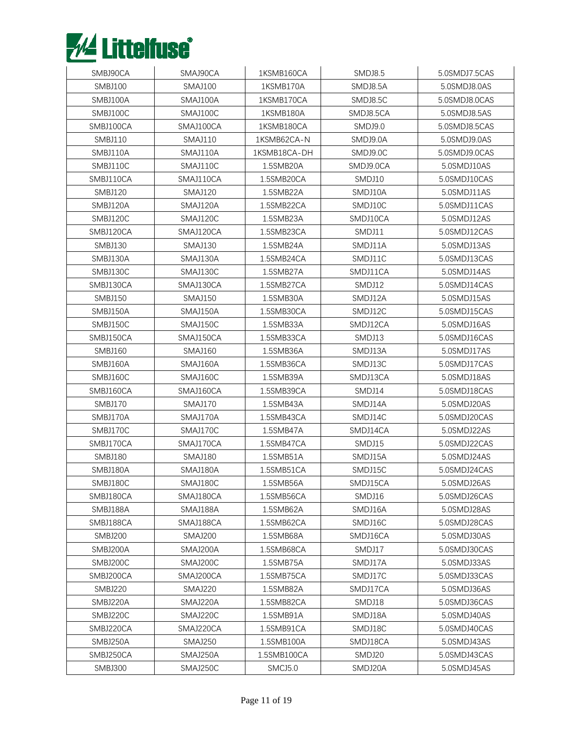

| SMBJ90CA       | SMAJ90CA       | 1KSMB160CA   | SMDJ8.5        | 5.0SMDJ7.5CAS |
|----------------|----------------|--------------|----------------|---------------|
| <b>SMBJ100</b> | <b>SMAJ100</b> | 1KSMB170A    | SMDJ8.5A       | 5.0SMDJ8.0AS  |
| SMBJ100A       | SMAJ100A       | 1KSMB170CA   | SMDJ8.5C       | 5.0SMDJ8.0CAS |
| SMBJ100C       | SMAJ100C       | 1KSMB180A    | SMDJ8.5CA      | 5.0SMDJ8.5AS  |
| SMBJ100CA      | SMAJ100CA      | 1KSMB180CA   | <b>SMDJ9.0</b> | 5.0SMDJ8.5CAS |
| <b>SMBJ110</b> | <b>SMAJ110</b> | 1KSMB62CA-N  | SMDJ9.0A       | 5.0SMDJ9.0AS  |
| SMBJ110A       | SMAJ110A       | 1KSMB18CA-DH | SMDJ9.0C       | 5.0SMDJ9.0CAS |
| SMBJ110C       | SMAJ110C       | 1.5SMB20A    | SMDJ9.0CA      | 5.0SMDJ10AS   |
| SMBJ110CA      | SMAJ110CA      | 1.5SMB20CA   | SMDJ10         | 5.0SMDJ10CAS  |
| <b>SMBJ120</b> | <b>SMAJ120</b> | 1.5SMB22A    | SMDJ10A        | 5.0SMDJ11AS   |
| SMBJ120A       | SMAJ120A       | 1.5SMB22CA   | SMDJ10C        | 5.0SMDJ11CAS  |
| SMBJ120C       | SMAJ120C       | 1.5SMB23A    | SMDJ10CA       | 5.0SMDJ12AS   |
| SMBJ120CA      | SMAJ120CA      | 1.5SMB23CA   | SMDJ11         | 5.0SMDJ12CAS  |
| <b>SMBJ130</b> | SMAJ130        | 1.5SMB24A    | SMDJ11A        | 5.0SMDJ13AS   |
| SMBJ130A       | SMAJ130A       | 1.5SMB24CA   | SMDJ11C        | 5.0SMDJ13CAS  |
| SMBJ130C       | SMAJ130C       | 1.5SMB27A    | SMDJ11CA       | 5.0SMDJ14AS   |
| SMBJ130CA      | SMAJ130CA      | 1.5SMB27CA   | SMDJ12         | 5.0SMDJ14CAS  |
| <b>SMBJ150</b> | <b>SMAJ150</b> | 1.5SMB30A    | SMDJ12A        | 5.0SMDJ15AS   |
| SMBJ150A       | SMAJ150A       | 1.5SMB30CA   | SMDJ12C        | 5.0SMDJ15CAS  |
| SMBJ150C       | SMAJ150C       | 1.5SMB33A    | SMDJ12CA       | 5.0SMDJ16AS   |
| SMBJ150CA      | SMAJ150CA      | 1.5SMB33CA   | SMDJ13         | 5.0SMDJ16CAS  |
| SMBJ160        | <b>SMAJ160</b> | 1.5SMB36A    | SMDJ13A        | 5.0SMDJ17AS   |
| SMBJ160A       | SMAJ160A       | 1.5SMB36CA   | SMDJ13C        | 5.0SMDJ17CAS  |
| SMBJ160C       | SMAJ160C       | 1.5SMB39A    | SMDJ13CA       | 5.0SMDJ18AS   |
| SMBJ160CA      | SMAJ160CA      | 1.5SMB39CA   | SMDJ14         | 5.0SMDJ18CAS  |
| SMBJ170        | <b>SMAJ170</b> | 1.5SMB43A    | SMDJ14A        | 5.0SMDJ20AS   |
| SMBJ170A       | SMAJ170A       | 1.5SMB43CA   | SMDJ14C        | 5.0SMDJ20CAS  |
| SMBJ170C       | SMAJ170C       | 1.5SMB47A    | SMDJ14CA       | 5.0SMDJ22AS   |
| SMBJ170CA      | SMAJ170CA      | 1.5SMB47CA   | SMDJ15         | 5.0SMDJ22CAS  |
| SMBJ180        | <b>SMAJ180</b> | 1.5SMB51A    | SMDJ15A        | 5.0SMDJ24AS   |
| SMBJ180A       | SMAJ180A       | 1.5SMB51CA   | SMDJ15C        | 5.0SMDJ24CAS  |
| SMBJ180C       | SMAJ180C       | 1.5SMB56A    | SMDJ15CA       | 5.0SMDJ26AS   |
| SMBJ180CA      | SMAJ180CA      | 1.5SMB56CA   | SMDJ16         | 5.0SMDJ26CAS  |
| SMBJ188A       | SMAJ188A       | 1.5SMB62A    | SMDJ16A        | 5.0SMDJ28AS   |
| SMBJ188CA      | SMAJ188CA      | 1.5SMB62CA   | SMDJ16C        | 5.0SMDJ28CAS  |
| <b>SMBJ200</b> | SMAJ200        | 1.5SMB68A    | SMDJ16CA       | 5.0SMDJ30AS   |
| SMBJ200A       | SMAJ200A       | 1.5SMB68CA   | SMDJ17         | 5.0SMDJ30CAS  |
| SMBJ200C       | SMAJ200C       | 1.5SMB75A    | SMDJ17A        | 5.0SMDJ33AS   |
| SMBJ200CA      | SMAJ200CA      | 1.5SMB75CA   | SMDJ17C        | 5.0SMDJ33CAS  |
| <b>SMBJ220</b> | SMAJ220        | 1.5SMB82A    | SMDJ17CA       | 5.0SMDJ36AS   |
| SMBJ220A       | SMAJ220A       | 1.5SMB82CA   | SMDJ18         | 5.0SMDJ36CAS  |
| SMBJ220C       | SMAJ220C       | 1.5SMB91A    | SMDJ18A        | 5.0SMDJ40AS   |
| SMBJ220CA      | SMAJ220CA      | 1.5SMB91CA   | SMDJ18C        | 5.0SMDJ40CAS  |
| SMBJ250A       | SMAJ250        | 1.5SMB100A   | SMDJ18CA       | 5.0SMDJ43AS   |
| SMBJ250CA      | SMAJ250A       | 1.5SMB100CA  | SMDJ20         | 5.0SMDJ43CAS  |
| SMBJ300        | SMAJ250C       | SMCJ5.0      | SMDJ20A        | 5.0SMDJ45AS   |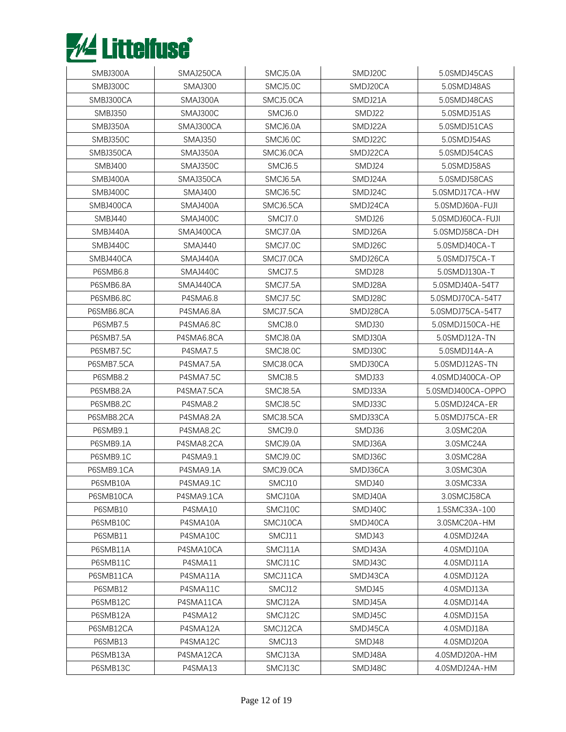

| SMBJ300A       | SMAJ250CA       | SMCJ5.0A            | SMDJ20C  | 5.0SMDJ45CAS      |
|----------------|-----------------|---------------------|----------|-------------------|
| SMBJ300C       | <b>SMAJ300</b>  | SMCJ5.0C            | SMDJ20CA | 5.0SMDJ48AS       |
| SMBJ300CA      | SMAJ300A        | SMCJ5.0CA           | SMDJ21A  | 5.0SMDJ48CAS      |
| <b>SMBJ350</b> | SMAJ300C        | SMCJ6.0             | SMDJ22   | 5.0SMDJ51AS       |
| SMBJ350A       | SMAJ300CA       | SMCJ6.0A            | SMDJ22A  | 5.0SMDJ51CAS      |
| SMBJ350C       | <b>SMAJ350</b>  | SMCJ6.0C            | SMDJ22C  | 5.0SMDJ54AS       |
| SMBJ350CA      | SMAJ350A        | SMCJ6.0CA           | SMDJ22CA | 5.0SMDJ54CAS      |
| <b>SMBJ400</b> | SMAJ350C        | SMCJ <sub>6.5</sub> | SMDJ24   | 5.0SMDJ58AS       |
| SMBJ400A       | SMAJ350CA       | SMCJ6.5A            | SMDJ24A  | 5.0SMDJ58CAS      |
| SMBJ400C       | <b>SMAJ400</b>  | SMCJ6.5C            | SMDJ24C  | 5.0SMDJ17CA-HW    |
| SMBJ400CA      | SMAJ400A        | SMCJ6.5CA           | SMDJ24CA | 5.0SMDJ60A-FUJI   |
| <b>SMBJ440</b> | SMAJ400C        | SMCJ7.0             | SMDJ26   | 5.0SMDJ60CA-FUJI  |
| SMBJ440A       | SMAJ400CA       | SMCJ7.0A            | SMDJ26A  | 5.0SMDJ58CA-DH    |
| SMBJ440C       | SMAJ440         | SMCJ7.0C            | SMDJ26C  | 5.0SMDJ40CA-T     |
| SMBJ440CA      | SMAJ440A        | SMCJ7.0CA           | SMDJ26CA | 5.0SMDJ75CA-T     |
| P6SMB6.8       | SMAJ440C        | SMCJ7.5             | SMDJ28   | 5.0SMDJ130A-T     |
| P6SMB6.8A      | SMAJ440CA       | SMCJ7.5A            | SMDJ28A  | 5.0SMDJ40A-54T7   |
| P6SMB6.8C      | P4SMA6.8        | SMCJ7.5C            | SMDJ28C  | 5.0SMDJ70CA-54T7  |
| P6SMB6.8CA     | P4SMA6.8A       | SMCJ7.5CA           | SMDJ28CA | 5.0SMDJ75CA-54T7  |
| P6SMB7.5       | P4SMA6.8C       | SMCJ8.0             | SMDJ30   | 5.0SMDJ150CA-HE   |
| P6SMB7.5A      | P4SMA6.8CA      | SMCJ8.0A            | SMDJ30A  | 5.0SMDJ12A-TN     |
| P6SMB7.5C      | <b>P4SMA7.5</b> | SMCJ8.0C            | SMDJ30C  | 5.0SMDJ14A-A      |
| P6SMB7.5CA     | P4SMA7.5A       | SMCJ8.0CA           | SMDJ30CA | 5.0SMDJ12AS-TN    |
| P6SMB8.2       | P4SMA7.5C       | SMCJ8.5             | SMDJ33   | 4.0SMDJ400CA-OP   |
| P6SMB8.2A      | P4SMA7.5CA      | SMCJ8.5A            | SMDJ33A  | 5.0SMDJ400CA-OPPO |
| P6SMB8.2C      | <b>P4SMA8.2</b> | SMCJ8.5C            | SMDJ33C  | 5.0SMDJ24CA-ER    |
| P6SMB8.2CA     | P4SMA8.2A       | SMCJ8.5CA           | SMDJ33CA | 5.0SMDJ75CA-ER    |
| P6SMB9.1       | P4SMA8.2C       | SMCJ9.0             | SMDJ36   | 3.0SMC20A         |
| P6SMB9.1A      | P4SMA8.2CA      | SMCJ9.0A            | SMDJ36A  | 3.0SMC24A         |
| P6SMB9.1C      | P4SMA9.1        | SMCJ9.0C            | SMDJ36C  | 3.0SMC28A         |
| P6SMB9.1CA     | P4SMA9.1A       | SMCJ9.0CA           | SMDJ36CA | 3.0SMC30A         |
| P6SMB10A       | P4SMA9.1C       | SMCJ10              | SMDJ40   | 3.0SMC33A         |
| P6SMB10CA      | P4SMA9.1CA      | SMCJ10A             | SMDJ40A  | 3.0SMCJ58CA       |
| P6SMB10        | P4SMA10         | SMCJ10C             | SMDJ40C  | 1.5SMC33A-100     |
| P6SMB10C       | P4SMA10A        | SMCJ10CA            | SMDJ40CA | 3.0SMC20A-HM      |
| P6SMB11        | P4SMA10C        | SMCJ11              | SMDJ43   | 4.0SMDJ24A        |
| P6SMB11A       | P4SMA10CA       | SMCJ11A             | SMDJ43A  | 4.0SMDJ10A        |
| P6SMB11C       | P4SMA11         | SMCJ11C             | SMDJ43C  | 4.0SMDJ11A        |
| P6SMB11CA      | P4SMA11A        | SMCJ11CA            | SMDJ43CA | 4.0SMDJ12A        |
| P6SMB12        | P4SMA11C        | SMCJ12              | SMDJ45   | 4.0SMDJ13A        |
| P6SMB12C       | P4SMA11CA       | SMCJ12A             | SMDJ45A  | 4.0SMDJ14A        |
| P6SMB12A       | P4SMA12         | SMCJ12C             | SMDJ45C  | 4.0SMDJ15A        |
| P6SMB12CA      | P4SMA12A        | SMCJ12CA            | SMDJ45CA | 4.0SMDJ18A        |
| P6SMB13        | P4SMA12C        | SMCJ13              | SMDJ48   | 4.0SMDJ20A        |
| P6SMB13A       | P4SMA12CA       | SMCJ13A             | SMDJ48A  | 4.0SMDJ20A-HM     |
| P6SMB13C       | P4SMA13         | SMCJ13C             | SMDJ48C  | 4.0SMDJ24A-HM     |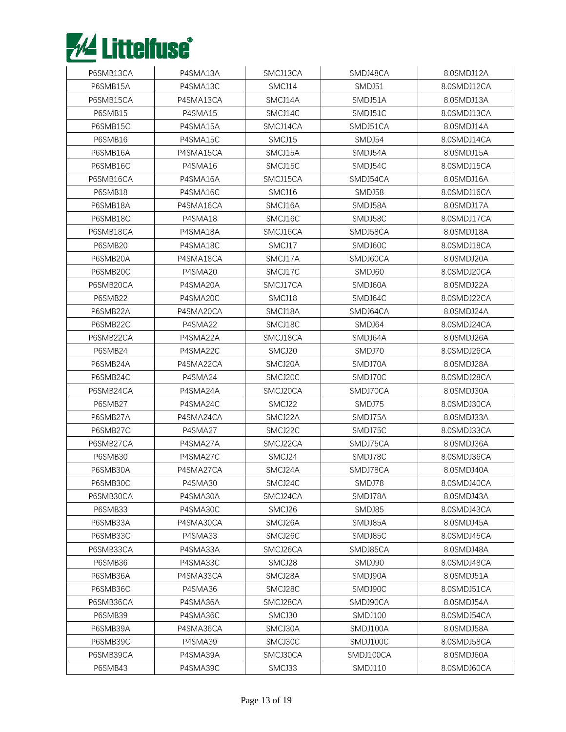

| P6SMB13CA | P4SMA13A  | SMCJ13CA | SMDJ48CA  | 8.0SMDJ12A  |
|-----------|-----------|----------|-----------|-------------|
| P6SMB15A  | P4SMA13C  | SMCJ14   | SMDJ51    | 8.0SMDJ12CA |
| P6SMB15CA | P4SMA13CA | SMCJ14A  | SMDJ51A   | 8.0SMDJ13A  |
| P6SMB15   | P4SMA15   | SMCJ14C  | SMDJ51C   | 8.0SMDJ13CA |
| P6SMB15C  | P4SMA15A  | SMCJ14CA | SMDJ51CA  | 8.0SMDJ14A  |
| P6SMB16   | P4SMA15C  | SMCJ15   | SMDJ54    | 8.0SMDJ14CA |
| P6SMB16A  | P4SMA15CA | SMCJ15A  | SMDJ54A   | 8.0SMDJ15A  |
| P6SMB16C  | P4SMA16   | SMCJ15C  | SMDJ54C   | 8.0SMDJ15CA |
| P6SMB16CA | P4SMA16A  | SMCJ15CA | SMDJ54CA  | 8.0SMDJ16A  |
| P6SMB18   | P4SMA16C  | SMCJ16   | SMDJ58    | 8.0SMDJ16CA |
| P6SMB18A  | P4SMA16CA | SMCJ16A  | SMDJ58A   | 8.0SMDJ17A  |
| P6SMB18C  | P4SMA18   | SMCJ16C  | SMDJ58C   | 8.0SMDJ17CA |
| P6SMB18CA | P4SMA18A  | SMCJ16CA | SMDJ58CA  | 8.0SMDJ18A  |
| P6SMB20   | P4SMA18C  | SMCJ17   | SMDJ60C   | 8.0SMDJ18CA |
| P6SMB20A  | P4SMA18CA | SMCJ17A  | SMDJ60CA  | 8.0SMDJ20A  |
| P6SMB20C  | P4SMA20   | SMCJ17C  | SMDJ60    | 8.0SMDJ20CA |
| P6SMB20CA | P4SMA20A  | SMCJ17CA | SMDJ60A   | 8.0SMDJ22A  |
| P6SMB22   | P4SMA20C  | SMCJ18   | SMDJ64C   | 8.0SMDJ22CA |
| P6SMB22A  | P4SMA20CA | SMCJ18A  | SMDJ64CA  | 8.0SMDJ24A  |
| P6SMB22C  | P4SMA22   | SMCJ18C  | SMDJ64    | 8.0SMDJ24CA |
| P6SMB22CA | P4SMA22A  | SMCJ18CA | SMDJ64A   | 8.0SMDJ26A  |
| P6SMB24   | P4SMA22C  | SMCJ20   | SMDJ70    | 8.0SMDJ26CA |
| P6SMB24A  | P4SMA22CA | SMCJ20A  | SMDJ70A   | 8.0SMDJ28A  |
| P6SMB24C  | P4SMA24   | SMCJ20C  | SMDJ70C   | 8.0SMDJ28CA |
| P6SMB24CA | P4SMA24A  | SMCJ20CA | SMDJ70CA  | 8.0SMDJ30A  |
| P6SMB27   | P4SMA24C  | SMCJ22   | SMDJ75    | 8.0SMDJ30CA |
| P6SMB27A  | P4SMA24CA | SMCJ22A  | SMDJ75A   | 8.0SMDJ33A  |
| P6SMB27C  | P4SMA27   | SMCJ22C  | SMDJ75C   | 8.0SMDJ33CA |
| P6SMB27CA | P4SMA27A  | SMCJ22CA | SMDJ75CA  | 8.0SMDJ36A  |
| P6SMB30   | P4SMA27C  | SMCJ24   | SMDJ78C   | 8.0SMDJ36CA |
| P6SMB30A  | P4SMA27CA | SMCJ24A  | SMDJ78CA  | 8.0SMDJ40A  |
| P6SMB30C  | P4SMA30   | SMCJ24C  | SMDJ78    | 8.0SMDJ40CA |
| P6SMB30CA | P4SMA30A  | SMCJ24CA | SMDJ78A   | 8.0SMDJ43A  |
| P6SMB33   | P4SMA30C  | SMCJ26   | SMDJ85    | 8.0SMDJ43CA |
| P6SMB33A  | P4SMA30CA | SMCJ26A  | SMDJ85A   | 8.0SMDJ45A  |
| P6SMB33C  | P4SMA33   | SMCJ26C  | SMDJ85C   | 8.0SMDJ45CA |
| P6SMB33CA | P4SMA33A  | SMCJ26CA | SMDJ85CA  | 8.0SMDJ48A  |
| P6SMB36   | P4SMA33C  | SMCJ28   | SMDJ90    | 8.0SMDJ48CA |
| P6SMB36A  | P4SMA33CA | SMCJ28A  | SMDJ90A   | 8.0SMDJ51A  |
| P6SMB36C  | P4SMA36   | SMCJ28C  | SMDJ90C   | 8.0SMDJ51CA |
| P6SMB36CA | P4SMA36A  | SMCJ28CA | SMDJ90CA  | 8.0SMDJ54A  |
| P6SMB39   | P4SMA36C  | SMCJ30   | SMDJ100   | 8.0SMDJ54CA |
| P6SMB39A  | P4SMA36CA | SMCJ30A  | SMDJ100A  | 8.0SMDJ58A  |
| P6SMB39C  | P4SMA39   | SMCJ30C  | SMDJ100C  | 8.0SMDJ58CA |
| P6SMB39CA | P4SMA39A  | SMCJ30CA | SMDJ100CA | 8.0SMDJ60A  |
| P6SMB43   | P4SMA39C  | SMCJ33   | SMDJ110   | 8.0SMDJ60CA |
|           |           |          |           |             |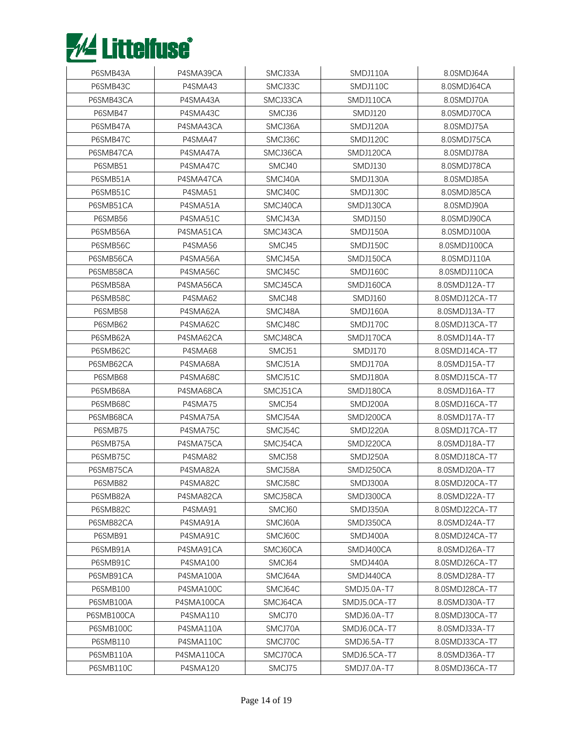

| P6SMB43A        | P4SMA39CA  | SMCJ33A  | SMDJ110A       | 8.0SMDJ64A     |
|-----------------|------------|----------|----------------|----------------|
| P6SMB43C        | P4SMA43    | SMCJ33C  | SMDJ110C       | 8.0SMDJ64CA    |
| P6SMB43CA       | P4SMA43A   | SMCJ33CA | SMDJ110CA      | 8.0SMDJ70A     |
| P6SMB47         | P4SMA43C   | SMCJ36   | <b>SMDJ120</b> | 8.0SMDJ70CA    |
| P6SMB47A        | P4SMA43CA  | SMCJ36A  | SMDJ120A       | 8.0SMDJ75A     |
| P6SMB47C        | P4SMA47    | SMCJ36C  | SMDJ120C       | 8.0SMDJ75CA    |
| P6SMB47CA       | P4SMA47A   | SMCJ36CA | SMDJ120CA      | 8.0SMDJ78A     |
| P6SMB51         | P4SMA47C   | SMCJ40   | SMDJ130        | 8.0SMDJ78CA    |
| P6SMB51A        | P4SMA47CA  | SMCJ40A  | SMDJ130A       | 8.0SMDJ85A     |
| P6SMB51C        | P4SMA51    | SMCJ40C  | SMDJ130C       | 8.0SMDJ85CA    |
| P6SMB51CA       | P4SMA51A   | SMCJ40CA | SMDJ130CA      | 8.0SMDJ90A     |
| P6SMB56         | P4SMA51C   | SMCJ43A  | SMDJ150        | 8.0SMDJ90CA    |
| P6SMB56A        | P4SMA51CA  | SMCJ43CA | SMDJ150A       | 8.0SMDJ100A    |
| P6SMB56C        | P4SMA56    | SMCJ45   | SMDJ150C       | 8.0SMDJ100CA   |
| P6SMB56CA       | P4SMA56A   | SMCJ45A  | SMDJ150CA      | 8.0SMDJ110A    |
| P6SMB58CA       | P4SMA56C   | SMCJ45C  | SMDJ160C       | 8.0SMDJ110CA   |
| P6SMB58A        | P4SMA56CA  | SMCJ45CA | SMDJ160CA      | 8.0SMDJ12A-T7  |
| P6SMB58C        | P4SMA62    | SMCJ48   | SMDJ160        | 8.0SMDJ12CA-T7 |
| P6SMB58         | P4SMA62A   | SMCJ48A  | SMDJ160A       | 8.0SMDJ13A-T7  |
| P6SMB62         | P4SMA62C   | SMCJ48C  | SMDJ170C       | 8.0SMDJ13CA-T7 |
| P6SMB62A        | P4SMA62CA  | SMCJ48CA | SMDJ170CA      | 8.0SMDJ14A-T7  |
| P6SMB62C        | P4SMA68    | SMCJ51   | SMDJ170        | 8.0SMDJ14CA-T7 |
| P6SMB62CA       | P4SMA68A   | SMCJ51A  | SMDJ170A       | 8.0SMDJ15A-T7  |
| P6SMB68         | P4SMA68C   | SMCJ51C  | SMDJ180A       | 8.0SMDJ15CA-T7 |
| P6SMB68A        | P4SMA68CA  | SMCJ51CA | SMDJ180CA      | 8.0SMDJ16A-T7  |
| P6SMB68C        | P4SMA75    | SMCJ54   | SMDJ200A       | 8.0SMDJ16CA-T7 |
| P6SMB68CA       | P4SMA75A   | SMCJ54A  | SMDJ200CA      | 8.0SMDJ17A-T7  |
| P6SMB75         | P4SMA75C   | SMCJ54C  | SMDJ220A       | 8.0SMDJ17CA-T7 |
| P6SMB75A        | P4SMA75CA  | SMCJ54CA | SMDJ220CA      | 8.0SMDJ18A-T7  |
| P6SMB75C        | P4SMA82    | SMCJ58   | SMDJ250A       | 8.0SMDJ18CA-T7 |
| P6SMB75CA       | P4SMA82A   | SMCJ58A  | SMDJ250CA      | 8.0SMDJ20A-T7  |
| P6SMB82         | P4SMA82C   | SMCJ58C  | SMDJ300A       | 8.0SMDJ20CA-T7 |
| P6SMB82A        | P4SMA82CA  | SMCJ58CA | SMDJ300CA      | 8.0SMDJ22A-T7  |
| P6SMB82C        | P4SMA91    | SMCJ60   | SMDJ350A       | 8.0SMDJ22CA-T7 |
| P6SMB82CA       | P4SMA91A   | SMCJ60A  | SMDJ350CA      | 8.0SMDJ24A-T7  |
| P6SMB91         | P4SMA91C   | SMCJ60C  | SMDJ400A       | 8.0SMDJ24CA-T7 |
| P6SMB91A        | P4SMA91CA  | SMCJ60CA | SMDJ400CA      | 8.0SMDJ26A-T7  |
| P6SMB91C        | P4SMA100   | SMCJ64   | SMDJ440A       | 8.0SMDJ26CA-T7 |
| P6SMB91CA       | P4SMA100A  | SMCJ64A  | SMDJ440CA      | 8.0SMDJ28A-T7  |
| <b>P6SMB100</b> | P4SMA100C  | SMCJ64C  | SMDJ5.0A-T7    | 8.0SMDJ28CA-T7 |
| P6SMB100A       | P4SMA100CA | SMCJ64CA | SMDJ5.0CA-T7   | 8.0SMDJ30A-T7  |
| P6SMB100CA      | P4SMA110   | SMCJ70   | SMDJ6.0A-T7    | 8.0SMDJ30CA-T7 |
| P6SMB100C       | P4SMA110A  | SMCJ70A  | SMDJ6.0CA-T7   | 8.0SMDJ33A-T7  |
| P6SMB110        | P4SMA110C  | SMCJ70C  | SMDJ6.5A-T7    | 8.0SMDJ33CA-T7 |
| P6SMB110A       | P4SMA110CA | SMCJ70CA | SMDJ6.5CA-T7   | 8.0SMDJ36A-T7  |
| P6SMB110C       | P4SMA120   | SMCJ75   | SMDJ7.0A-T7    | 8.0SMDJ36CA-T7 |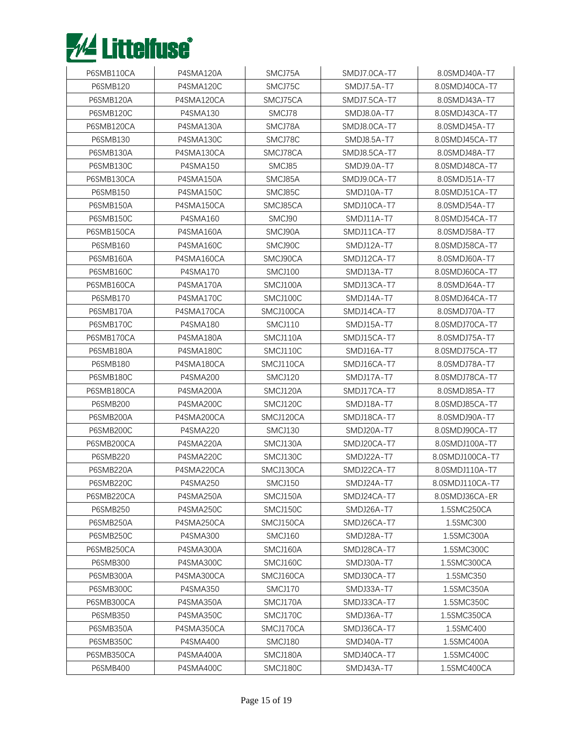

| P6SMB110CA      | P4SMA120A       | SMCJ75A        | SMDJ7.0CA-T7      | 8.0SMDJ40A-T7   |
|-----------------|-----------------|----------------|-------------------|-----------------|
| P6SMB120        | P4SMA120C       | SMCJ75C        | SMDJ7.5A-T7       | 8.0SMDJ40CA-T7  |
| P6SMB120A       | P4SMA120CA      | SMCJ75CA       | SMDJ7.5CA-T7      | 8.0SMDJ43A-T7   |
| P6SMB120C       | P4SMA130        | SMCJ78         | SMDJ8.0A-T7       | 8.0SMDJ43CA-T7  |
| P6SMB120CA      | P4SMA130A       | SMCJ78A        | SMDJ8.0CA-T7      | 8.0SMDJ45A-T7   |
| P6SMB130        | P4SMA130C       | SMCJ78C        | SMDJ8.5A-T7       | 8.0SMDJ45CA-T7  |
| P6SMB130A       | P4SMA130CA      | SMCJ78CA       | SMDJ8.5CA-T7      | 8.0SMDJ48A-T7   |
| P6SMB130C       | P4SMA150        | SMCJ85         | SMDJ9.0A-T7       | 8.0SMDJ48CA-T7  |
| P6SMB130CA      | P4SMA150A       | SMCJ85A        | SMDJ9.0CA-T7      | 8.0SMDJ51A-T7   |
| <b>P6SMB150</b> | P4SMA150C       | SMCJ85C        | SMDJ10A-T7        | 8.0SMDJ51CA-T7  |
| P6SMB150A       | P4SMA150CA      | SMCJ85CA       | SMDJ10CA-T7       | 8.0SMDJ54A-T7   |
| P6SMB150C       | <b>P4SMA160</b> | SMCJ90         | SMDJ11A-T7        | 8.0SMDJ54CA-T7  |
| P6SMB150CA      | P4SMA160A       | SMCJ90A        | SMDJ11CA-T7       | 8.0SMDJ58A-T7   |
| <b>P6SMB160</b> | P4SMA160C       | SMCJ90C        | SMDJ12A-T7        | 8.0SMDJ58CA-T7  |
| P6SMB160A       | P4SMA160CA      | SMCJ90CA       | SMDJ12CA-T7       | 8.0SMDJ60A-T7   |
| P6SMB160C       | <b>P4SMA170</b> | <b>SMCJ100</b> | SMDJ13A-T7        | 8.0SMDJ60CA-T7  |
| P6SMB160CA      | P4SMA170A       | SMCJ100A       | SMDJ13CA-T7       | 8.0SMDJ64A-T7   |
| P6SMB170        | P4SMA170C       | SMCJ100C       | SMDJ14A-T7        | 8.0SMDJ64CA-T7  |
| P6SMB170A       | P4SMA170CA      | SMCJ100CA      | SMDJ14CA-T7       | 8.0SMDJ70A-T7   |
| P6SMB170C       | P4SMA180        | <b>SMCJ110</b> | SMDJ15A-T7        | 8.0SMDJ70CA-T7  |
| P6SMB170CA      | P4SMA180A       | SMCJ110A       | SMDJ15CA-T7       | 8.0SMDJ75A-T7   |
| P6SMB180A       | P4SMA180C       | SMCJ110C       | SMDJ16A-T7        | 8.0SMDJ75CA-T7  |
| <b>P6SMB180</b> | P4SMA180CA      | SMCJ110CA      | SMDJ16CA-T7       | 8.0SMDJ78A-T7   |
| P6SMB180C       | P4SMA200        | SMCJ120        | SMDJ17A-T7        | 8.0SMDJ78CA-T7  |
| P6SMB180CA      | P4SMA200A       | SMCJ120A       | SMDJ17CA-T7       | 8.0SMDJ85A-T7   |
| <b>P6SMB200</b> | P4SMA200C       | SMCJ120C       | <b>SMDJ18A-T7</b> | 8.0SMDJ85CA-T7  |
| P6SMB200A       | P4SMA200CA      | SMCJ120CA      | SMDJ18CA-T7       | 8.0SMDJ90A-T7   |
| P6SMB200C       | <b>P4SMA220</b> | SMCJ130        | SMDJ20A-T7        | 8.0SMDJ90CA-T7  |
| P6SMB200CA      | P4SMA220A       | SMCJ130A       | SMDJ20CA-T7       | 8.0SMDJ100A-T7  |
| P6SMB220        | P4SMA220C       | SMCJ130C       | SMDJ22A-T7        | 8.0SMDJ100CA-T7 |
| P6SMB220A       | P4SMA220CA      | SMCJ130CA      | SMDJ22CA-T7       | 8.0SMDJ110A-T7  |
| P6SMB220C       | P4SMA250        | SMCJ150        | SMDJ24A-T7        | 8.0SMDJ110CA-T7 |
| P6SMB220CA      | P4SMA250A       | SMCJ150A       | SMDJ24CA-T7       | 8.0SMDJ36CA-ER  |
| <b>P6SMB250</b> | P4SMA250C       | SMCJ150C       | SMDJ26A-T7        | 1.5SMC250CA     |
| P6SMB250A       | P4SMA250CA      | SMCJ150CA      | SMDJ26CA-T7       | 1.5SMC300       |
| P6SMB250C       | P4SMA300        | SMCJ160        | SMDJ28A-T7        | 1.5SMC300A      |
| P6SMB250CA      | P4SMA300A       | SMCJ160A       | SMDJ28CA-T7       | 1.5SMC300C      |
| P6SMB300        | P4SMA300C       | SMCJ160C       | SMDJ30A-T7        | 1.5SMC300CA     |
| P6SMB300A       | P4SMA300CA      | SMCJ160CA      | SMDJ30CA-T7       | 1.5SMC350       |
| P6SMB300C       | P4SMA350        | SMCJ170        | SMDJ33A-T7        | 1.5SMC350A      |
| P6SMB300CA      | P4SMA350A       | SMCJ170A       | SMDJ33CA-T7       | 1.5SMC350C      |
| P6SMB350        | P4SMA350C       | SMCJ170C       | SMDJ36A-T7        | 1.5SMC350CA     |
| P6SMB350A       | P4SMA350CA      | SMCJ170CA      | SMDJ36CA-T7       | 1.5SMC400       |
| P6SMB350C       | P4SMA400        | SMCJ180        | SMDJ40A-T7        | 1.5SMC400A      |
| P6SMB350CA      | P4SMA400A       | SMCJ180A       | SMDJ40CA-T7       | 1.5SMC400C      |
| P6SMB400        | P4SMA400C       | SMCJ180C       | SMDJ43A-T7        | 1.5SMC400CA     |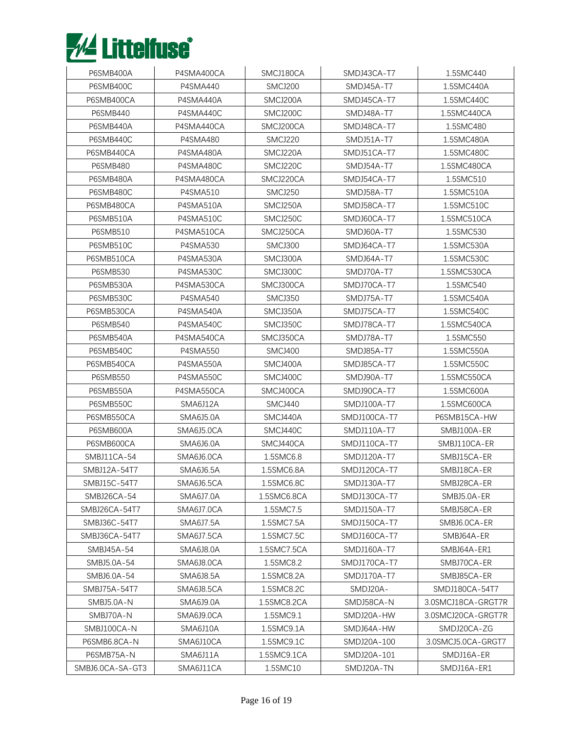

| P6SMB400A        | P4SMA400CA | SMCJ180CA      | SMDJ43CA-T7       | 1.5SMC440          |
|------------------|------------|----------------|-------------------|--------------------|
| P6SMB400C        | P4SMA440   | SMCJ200        | SMDJ45A-T7        | 1.5SMC440A         |
| P6SMB400CA       | P4SMA440A  | SMCJ200A       | SMDJ45CA-T7       | 1.5SMC440C         |
| <b>P6SMB440</b>  | P4SMA440C  | SMCJ200C       | <b>SMDJ48A-T7</b> | 1.5SMC440CA        |
| P6SMB440A        | P4SMA440CA | SMCJ200CA      | SMDJ48CA-T7       | 1.5SMC480          |
| P6SMB440C        | P4SMA480   | SMCJ220        | SMDJ51A-T7        | 1.5SMC480A         |
| P6SMB440CA       | P4SMA480A  | SMCJ220A       | SMDJ51CA-T7       | 1.5SMC480C         |
| <b>P6SMB480</b>  | P4SMA480C  | SMCJ220C       | SMDJ54A-T7        | 1.5SMC480CA        |
| P6SMB480A        | P4SMA480CA | SMCJ220CA      | SMDJ54CA-T7       | 1.5SMC510          |
| P6SMB480C        | P4SMA510   | SMCJ250        | SMDJ58A-T7        | 1.5SMC510A         |
| P6SMB480CA       | P4SMA510A  | SMCJ250A       | SMDJ58CA-T7       | 1.5SMC510C         |
| P6SMB510A        | P4SMA510C  | SMCJ250C       | SMDJ60CA-T7       | 1.5SMC510CA        |
| P6SMB510         | P4SMA510CA | SMCJ250CA      | SMDJ60A-T7        | 1.5SMC530          |
| P6SMB510C        | P4SMA530   | SMCJ300        | SMDJ64CA-T7       | 1.5SMC530A         |
| P6SMB510CA       | P4SMA530A  | SMCJ300A       | SMDJ64A-T7        | 1.5SMC530C         |
| <b>P6SMB530</b>  | P4SMA530C  | SMCJ300C       | SMDJ70A-T7        | 1.5SMC530CA        |
| P6SMB530A        | P4SMA530CA | SMCJ300CA      | SMDJ70CA-T7       | 1.5SMC540          |
| P6SMB530C        | P4SMA540   | SMCJ350        | SMDJ75A-T7        | 1.5SMC540A         |
| P6SMB530CA       | P4SMA540A  | SMCJ350A       | SMDJ75CA-T7       | 1.5SMC540C         |
| P6SMB540         | P4SMA540C  | SMCJ350C       | SMDJ78CA-T7       | 1.5SMC540CA        |
| P6SMB540A        | P4SMA540CA | SMCJ350CA      | SMDJ78A-T7        | 1.5SMC550          |
| P6SMB540C        | P4SMA550   | <b>SMCJ400</b> | <b>SMDJ85A-T7</b> | 1.5SMC550A         |
| P6SMB540CA       | P4SMA550A  | SMCJ400A       | SMDJ85CA-T7       | 1.5SMC550C         |
| <b>P6SMB550</b>  | P4SMA550C  | SMCJ400C       | <b>SMDJ90A-T7</b> | 1.5SMC550CA        |
| P6SMB550A        | P4SMA550CA | SMCJ400CA      | SMDJ90CA-T7       | 1.5SMC600A         |
| P6SMB550C        | SMA6J12A   | SMCJ440        | SMDJ100A-T7       | 1.5SMC600CA        |
| P6SMB550CA       | SMA6J5.0A  | SMCJ440A       | SMDJ100CA-T7      | P6SMB15CA-HW       |
| P6SMB600A        | SMA6J5.0CA | SMCJ440C       | SMDJ110A-T7       | SMBJ100A-ER        |
| P6SMB600CA       | SMA6J6.0A  | SMCJ440CA      | SMDJ110CA-T7      | SMBJ110CA-ER       |
| SMBJ11CA-54      | SMA6J6.0CA | 1.5SMC6.8      | SMDJ120A-T7       | SMBJ15CA-ER        |
| SMBJ12A-54T7     | SMA6J6.5A  | 1.5SMC6.8A     | SMDJ120CA-T7      | SMBJ18CA-ER        |
| SMBJ15C-54T7     | SMA6J6.5CA | 1.5SMC6.8C     | SMDJ130A-T7       | SMBJ28CA-ER        |
| SMBJ26CA-54      | SMA6J7.0A  | 1.5SMC6.8CA    | SMDJ130CA-T7      | SMBJ5.0A-ER        |
| SMBJ26CA-54T7    | SMA6J7.0CA | 1.5SMC7.5      | SMDJ150A-T7       | SMBJ58CA-ER        |
| SMBJ36C-54T7     | SMA6J7.5A  | 1.5SMC7.5A     | SMDJ150CA-T7      | SMBJ6.0CA-ER       |
| SMBJ36CA-54T7    | SMA6J7.5CA | 1.5SMC7.5C     | SMDJ160CA-T7      | SMBJ64A-ER         |
| SMBJ45A-54       | SMA6J8.0A  | 1.5SMC7.5CA    | SMDJ160A-T7       | SMBJ64A-ER1        |
| SMBJ5.0A-54      | SMA6J8.0CA | 1.5SMC8.2      | SMDJ170CA-T7      | SMBJ70CA-ER        |
| SMBJ6.0A-54      | SMA6J8.5A  | 1.5SMC8.2A     | SMDJ170A-T7       | SMBJ85CA-ER        |
| SMBJ75A-54T7     | SMA6J8.5CA | 1.5SMC8.2C     | SMDJ20A-          | SMDJ180CA-54T7     |
| SMBJ5.0A-N       | SMA6J9.0A  | 1.5SMC8.2CA    | SMDJ58CA-N        | 3.0SMCJ18CA-GRGT7R |
| SMBJ70A-N        | SMA6J9.0CA | 1.5SMC9.1      | SMDJ20A-HW        | 3.0SMCJ20CA-GRGT7R |
| SMBJ100CA-N      | SMA6J10A   | 1.5SMC9.1A     | SMDJ64A-HW        | SMDJ20CA-ZG        |
| P6SMB6.8CA-N     | SMA6J10CA  | 1.5SMC9.1C     | SMDJ20A-100       | 3.0SMCJ5.0CA-GRGT7 |
| P6SMB75A-N       | SMA6J11A   | 1.5SMC9.1CA    | SMDJ20A-101       | SMDJ16A-ER         |
| SMBJ6.0CA-SA-GT3 | SMA6J11CA  | 1.5SMC10       | SMDJ20A-TN        | SMDJ16A-ER1        |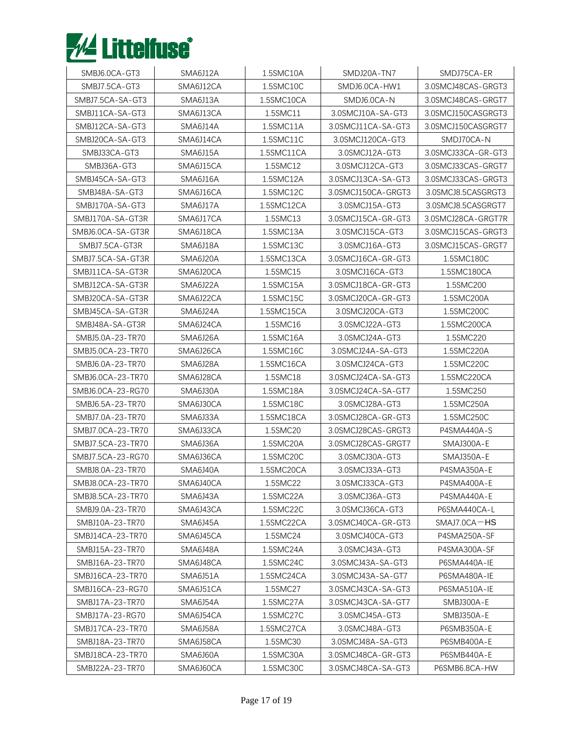

| SMBJ6.0CA-GT3     | SMA6J12A        | 1.5SMC10A  | SMDJ20A-TN7        | SMDJ75CA-ER        |
|-------------------|-----------------|------------|--------------------|--------------------|
| SMBJ7.5CA-GT3     | SMA6J12CA       | 1.5SMC10C  | SMDJ6.0CA-HW1      | 3.0SMCJ48CAS-GRGT3 |
| SMBJ7.5CA-SA-GT3  | SMA6J13A        | 1.5SMC10CA | SMDJ6.0CA-N        | 3.0SMCJ48CAS-GRGT7 |
| SMBJ11CA-SA-GT3   | SMA6J13CA       | 1.5SMC11   | 3.0SMCJ10A-SA-GT3  | 3.0SMCJ150CASGRGT3 |
| SMBJ12CA-SA-GT3   | SMA6J14A        | 1.5SMC11A  | 3.0SMCJ11CA-SA-GT3 | 3.0SMCJ150CASGRGT7 |
| SMBJ20CA-SA-GT3   | SMA6J14CA       | 1.5SMC11C  | 3.0SMCJ120CA-GT3   | SMDJ70CA-N         |
| SMBJ33CA-GT3      | SMA6J15A        | 1.5SMC11CA | 3.0SMCJ12A-GT3     | 3.0SMCJ33CA-GR-GT3 |
| SMBJ36A-GT3       | SMA6J15CA       | 1.5SMC12   | 3.0SMCJ12CA-GT3    | 3.0SMCJ33CAS-GRGT7 |
| SMBJ45CA-SA-GT3   | SMA6J16A        | 1.5SMC12A  | 3.0SMCJ13CA-SA-GT3 | 3.0SMCJ33CAS-GRGT3 |
| SMBJ48A-SA-GT3    | SMA6J16CA       | 1.5SMC12C  | 3.0SMCJ150CA-GRGT3 | 3.0SMCJ8.5CASGRGT3 |
| SMBJ170A-SA-GT3   | SMA6J17A        | 1.5SMC12CA | 3.0SMCJ15A-GT3     | 3.0SMCJ8.5CASGRGT7 |
| SMBJ170A-SA-GT3R  | SMA6J17CA       | 1.5SMC13   | 3.0SMCJ15CA-GR-GT3 | 3.0SMCJ28CA-GRGT7R |
| SMBJ6.0CA-SA-GT3R | SMA6J18CA       | 1.5SMC13A  | 3.0SMCJ15CA-GT3    | 3.0SMCJ15CAS-GRGT3 |
| SMBJ7.5CA-GT3R    | SMA6J18A        | 1.5SMC13C  | 3.0SMCJ16A-GT3     | 3.0SMCJ15CAS-GRGT7 |
| SMBJ7.5CA-SA-GT3R | SMA6J20A        | 1.5SMC13CA | 3.0SMCJ16CA-GR-GT3 | 1.5SMC180C         |
| SMBJ11CA-SA-GT3R  | SMA6J20CA       | 1.5SMC15   | 3.0SMCJ16CA-GT3    | 1.5SMC180CA        |
| SMBJ12CA-SA-GT3R  | SMA6J22A        | 1.5SMC15A  | 3.0SMCJ18CA-GR-GT3 | 1.5SMC200          |
| SMBJ20CA-SA-GT3R  | SMA6J22CA       | 1.5SMC15C  | 3.0SMCJ20CA-GR-GT3 | 1.5SMC200A         |
| SMBJ45CA-SA-GT3R  | <b>SMA6J24A</b> | 1.5SMC15CA | 3.0SMCJ20CA-GT3    | 1.5SMC200C         |
| SMBJ48A-SA-GT3R   | SMA6J24CA       | 1.5SMC16   | 3.0SMCJ22A-GT3     | 1.5SMC200CA        |
| SMBJ5.0A-23-TR70  | SMA6J26A        | 1.5SMC16A  | 3.0SMCJ24A-GT3     | 1.5SMC220          |
| SMBJ5.0CA-23-TR70 | SMA6J26CA       | 1.5SMC16C  | 3.0SMCJ24A-SA-GT3  | 1.5SMC220A         |
| SMBJ6.0A-23-TR70  | SMA6J28A        | 1.5SMC16CA | 3.0SMCJ24CA-GT3    | 1.5SMC220C         |
| SMBJ6.0CA-23-TR70 | SMA6J28CA       | 1.5SMC18   | 3.0SMCJ24CA-SA-GT3 | 1.5SMC220CA        |
| SMBJ6.0CA-23-RG70 | SMA6J30A        | 1.5SMC18A  | 3.0SMCJ24CA-SA-GT7 | 1.5SMC250          |
| SMBJ6.5A-23-TR70  | SMA6J30CA       | 1.5SMC18C  | 3.0SMCJ28A-GT3     | 1.5SMC250A         |
| SMBJ7.0A-23-TR70  | SMA6J33A        | 1.5SMC18CA | 3.0SMCJ28CA-GR-GT3 | 1.5SMC250C         |
| SMBJ7.0CA-23-TR70 | SMA6J33CA       | 1.5SMC20   | 3.0SMCJ28CAS-GRGT3 | P4SMA440A-S        |
| SMBJ7.5CA-23-TR70 | SMA6J36A        | 1.5SMC20A  | 3.0SMCJ28CAS-GRGT7 | SMAJ300A-E         |
| SMBJ7.5CA-23-RG70 | SMA6J36CA       | 1.5SMC20C  | 3.0SMCJ30A-GT3     | SMAJ350A-E         |
| SMBJ8.0A-23-TR70  | SMA6J40A        | 1.5SMC20CA | 3.0SMCJ33A-GT3     | P4SMA350A-E        |
| SMBJ8.0CA-23-TR70 | SMA6J40CA       | 1.5SMC22   | 3.0SMCJ33CA-GT3    | P4SMA400A-E        |
| SMBJ8.5CA-23-TR70 | SMA6J43A        | 1.5SMC22A  | 3.0SMCJ36A-GT3     | P4SMA440A-E        |
| SMBJ9.0A-23-TR70  | SMA6J43CA       | 1.5SMC22C  | 3.0SMCJ36CA-GT3    | P6SMA440CA-L       |
| SMBJ10A-23-TR70   | SMA6J45A        | 1.5SMC22CA | 3.0SMCJ40CA-GR-GT3 | $SMAJ7.0CA-HS$     |
| SMBJ14CA-23-TR70  | SMA6J45CA       | 1.5SMC24   | 3.0SMCJ40CA-GT3    | P4SMA250A-SF       |
| SMBJ15A-23-TR70   | SMA6J48A        | 1.5SMC24A  | 3.0SMCJ43A-GT3     | P4SMA300A-SF       |
| SMBJ16A-23-TR70   | SMA6J48CA       | 1.5SMC24C  | 3.0SMCJ43A-SA-GT3  | P6SMA440A-IE       |
| SMBJ16CA-23-TR70  | SMA6J51A        | 1.5SMC24CA | 3.0SMCJ43A-SA-GT7  | P6SMA480A-IE       |
| SMBJ16CA-23-RG70  | SMA6J51CA       | 1.5SMC27   | 3.0SMCJ43CA-SA-GT3 | P6SMA510A-IE       |
| SMBJ17A-23-TR70   | SMA6J54A        | 1.5SMC27A  | 3.0SMCJ43CA-SA-GT7 | SMBJ300A-E         |
| SMBJ17A-23-RG70   | SMA6J54CA       | 1.5SMC27C  | 3.0SMCJ45A-GT3     | SMBJ350A-E         |
| SMBJ17CA-23-TR70  | SMA6J58A        | 1.5SMC27CA | 3.0SMCJ48A-GT3     | P6SMB350A-E        |
| SMBJ18A-23-TR70   | SMA6J58CA       | 1.5SMC30   | 3.0SMCJ48A-SA-GT3  | P6SMB400A-E        |
| SMBJ18CA-23-TR70  | SMA6J60A        | 1.5SMC30A  | 3.0SMCJ48CA-GR-GT3 | P6SMB440A-E        |
| SMBJ22A-23-TR70   | SMA6J60CA       | 1.5SMC30C  | 3.0SMCJ48CA-SA-GT3 | P6SMB6.8CA-HW      |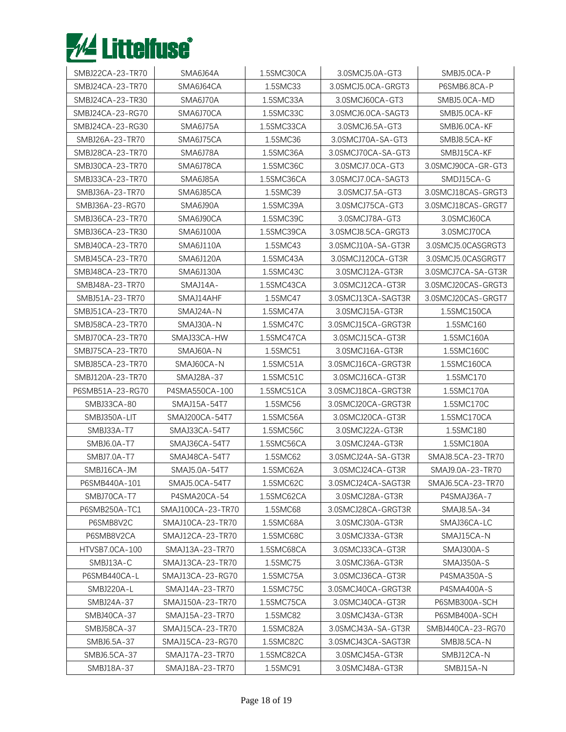

| SMBJ22CA-23-TR70 | SMA6J64A          | 1.5SMC30CA | 3.0SMCJ5.0A-GT3    | SMBJ5.0CA-P        |
|------------------|-------------------|------------|--------------------|--------------------|
| SMBJ24CA-23-TR70 | SMA6J64CA         | 1.5SMC33   | 3.0SMCJ5.0CA-GRGT3 | P6SMB6.8CA-P       |
| SMBJ24CA-23-TR30 | SMA6J70A          | 1.5SMC33A  | 3.0SMCJ60CA-GT3    | SMBJ5.0CA-MD       |
| SMBJ24CA-23-RG70 | SMA6J70CA         | 1.5SMC33C  | 3.0SMCJ6.0CA-SAGT3 | SMBJ5.0CA-KF       |
| SMBJ24CA-23-RG30 | SMA6J75A          | 1.5SMC33CA | 3.0SMCJ6.5A-GT3    | SMBJ6.0CA-KF       |
| SMBJ26A-23-TR70  | SMA6J75CA         | 1.5SMC36   | 3.0SMCJ70A-SA-GT3  | SMBJ8.5CA-KF       |
| SMBJ28CA-23-TR70 | SMA6J78A          | 1.5SMC36A  | 3.0SMCJ70CA-SA-GT3 | SMBJ15CA-KF        |
| SMBJ30CA-23-TR70 | SMA6J78CA         | 1.5SMC36C  | 3.0SMCJ7.0CA-GT3   | 3.0SMCJ90CA-GR-GT3 |
| SMBJ33CA-23-TR70 | SMA6J85A          | 1.5SMC36CA | 3.0SMCJ7.0CA-SAGT3 | SMDJ15CA-G         |
| SMBJ36A-23-TR70  | SMA6J85CA         | 1.5SMC39   | 3.0SMCJ7.5A-GT3    | 3.0SMCJ18CAS-GRGT3 |
| SMBJ36A-23-RG70  | SMA6J90A          | 1.5SMC39A  | 3.0SMCJ75CA-GT3    | 3.0SMCJ18CAS-GRGT7 |
| SMBJ36CA-23-TR70 | SMA6J90CA         | 1.5SMC39C  | 3.0SMCJ78A-GT3     | 3.0SMCJ60CA        |
| SMBJ36CA-23-TR30 | SMA6J100A         | 1.5SMC39CA | 3.0SMCJ8.5CA-GRGT3 | 3.0SMCJ70CA        |
| SMBJ40CA-23-TR70 | SMA6J110A         | 1.5SMC43   | 3.0SMCJ10A-SA-GT3R | 3.0SMCJ5.0CASGRGT3 |
| SMBJ45CA-23-TR70 | SMA6J120A         | 1.5SMC43A  | 3.0SMCJ120CA-GT3R  | 3.0SMCJ5.0CASGRGT7 |
| SMBJ48CA-23-TR70 | SMA6J130A         | 1.5SMC43C  | 3.0SMCJ12A-GT3R    | 3.0SMCJ7CA-SA-GT3R |
| SMBJ48A-23-TR70  | SMAJ14A-          | 1.5SMC43CA | 3.0SMCJ12CA-GT3R   | 3.0SMCJ20CAS-GRGT3 |
| SMBJ51A-23-TR70  | SMAJ14AHF         | 1.5SMC47   | 3.0SMCJ13CA-SAGT3R | 3.0SMCJ20CAS-GRGT7 |
| SMBJ51CA-23-TR70 | SMAJ24A-N         | 1.5SMC47A  | 3.0SMCJ15A-GT3R    | 1.5SMC150CA        |
| SMBJ58CA-23-TR70 | SMAJ30A-N         | 1.5SMC47C  | 3.0SMCJ15CA-GRGT3R | 1.5SMC160          |
| SMBJ70CA-23-TR70 | SMAJ33CA-HW       | 1.5SMC47CA | 3.0SMCJ15CA-GT3R   | 1.5SMC160A         |
| SMBJ75CA-23-TR70 | SMAJ60A-N         | 1.5SMC51   | 3.0SMCJ16A-GT3R    | 1.5SMC160C         |
| SMBJ85CA-23-TR70 | SMAJ60CA-N        | 1.5SMC51A  | 3.0SMCJ16CA-GRGT3R | 1.5SMC160CA        |
| SMBJ120A-23-TR70 | SMAJ28A-37        | 1.5SMC51C  | 3.0SMCJ16CA-GT3R   | 1.5SMC170          |
| P6SMB51A-23-RG70 | P4SMA550CA-100    | 1.5SMC51CA | 3.0SMCJ18CA-GRGT3R | 1.5SMC170A         |
| SMBJ33CA-80      | SMAJ15A-54T7      | 1.5SMC56   | 3.0SMCJ20CA-GRGT3R | 1.5SMC170C         |
| SMBJ350A-LIT     | SMAJ200CA-54T7    | 1.5SMC56A  | 3.0SMCJ20CA-GT3R   | 1.5SMC170CA        |
| SMBJ33A-T7       | SMAJ33CA-54T7     | 1.5SMC56C  | 3.0SMCJ22A-GT3R    | 1.5SMC180          |
| SMBJ6.0A-T7      | SMAJ36CA-54T7     | 1.5SMC56CA | 3.0SMCJ24A-GT3R    | 1.5SMC180A         |
| SMBJ7.0A-T7      | SMAJ48CA-54T7     | 1.5SMC62   | 3.0SMCJ24A-SA-GT3R | SMAJ8.5CA-23-TR70  |
| SMBJ16CA-JM      | SMAJ5.0A-54T7     | 1.5SMC62A  | 3.0SMCJ24CA-GT3R   | SMAJ9.0A-23-TR70   |
| P6SMB440A-101    | SMAJ5.0CA-54T7    | 1.5SMC62C  | 3.0SMCJ24CA-SAGT3R | SMAJ6.5CA-23-TR70  |
| SMBJ70CA-T7      | P4SMA20CA-54      | 1.5SMC62CA | 3.0SMCJ28A-GT3R    | P4SMAJ36A-7        |
| P6SMB250A-TC1    | SMAJ100CA-23-TR70 | 1.5SMC68   | 3.0SMCJ28CA-GRGT3R | SMAJ8.5A-34        |
| P6SMB8V2C        | SMAJ10CA-23-TR70  | 1.5SMC68A  | 3.0SMCJ30A-GT3R    | SMAJ36CA-LC        |
| P6SMB8V2CA       | SMAJ12CA-23-TR70  | 1.5SMC68C  | 3.0SMCJ33A-GT3R    | SMAJ15CA-N         |
| HTVSB7.0CA-100   | SMAJ13A-23-TR70   | 1.5SMC68CA | 3.0SMCJ33CA-GT3R   | SMAJ300A-S         |
| SMBJ13A-C        | SMAJ13CA-23-TR70  | 1.5SMC75   | 3.0SMCJ36A-GT3R    | SMAJ350A-S         |
| P6SMB440CA-L     | SMAJ13CA-23-RG70  | 1.5SMC75A  | 3.0SMCJ36CA-GT3R   | P4SMA350A-S        |
| SMBJ220A-L       | SMAJ14A-23-TR70   | 1.5SMC75C  | 3.0SMCJ40CA-GRGT3R | P4SMA400A-S        |
| SMBJ24A-37       | SMAJ150A-23-TR70  | 1.5SMC75CA | 3.0SMCJ40CA-GT3R   | P6SMB300A-SCH      |
| SMBJ40CA-37      | SMAJ15A-23-TR70   | 1.5SMC82   | 3.0SMCJ43A-GT3R    | P6SMB400A-SCH      |
| SMBJ58CA-37      | SMAJ15CA-23-TR70  | 1.5SMC82A  | 3.0SMCJ43A-SA-GT3R | SMBJ440CA-23-RG70  |
| SMBJ6.5A-37      | SMAJ15CA-23-RG70  | 1.5SMC82C  | 3.0SMCJ43CA-SAGT3R | SMBJ8.5CA-N        |
| SMBJ6.5CA-37     | SMAJ17A-23-TR70   | 1.5SMC82CA | 3.0SMCJ45A-GT3R    | SMBJ12CA-N         |
| SMBJ18A-37       | SMAJ18A-23-TR70   | 1.5SMC91   | 3.0SMCJ48A-GT3R    | SMBJ15A-N          |